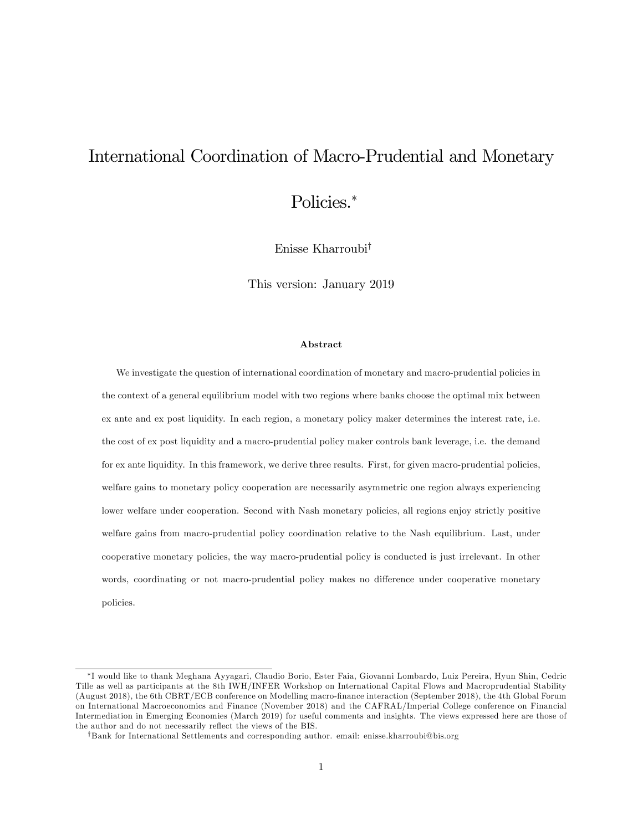# International Coordination of Macro-Prudential and Monetary

Policies.\*

Enisse Kharroubi<sup>†</sup>

This version: January 2019

#### Abstract

We investigate the question of international coordination of monetary and macro-prudential policies in the context of a general equilibrium model with two regions where banks choose the optimal mix between ex ante and ex post liquidity. In each region, a monetary policy maker determines the interest rate, i.e. the cost of ex post liquidity and a macro-prudential policy maker controls bank leverage, i.e. the demand for ex ante liquidity. In this framework, we derive three results. First, for given macro-prudential policies, welfare gains to monetary policy cooperation are necessarily asymmetric one region always experiencing lower welfare under cooperation. Second with Nash monetary policies, all regions enjoy strictly positive welfare gains from macro-prudential policy coordination relative to the Nash equilibrium. Last, under cooperative monetary policies, the way macro-prudential policy is conducted is just irrelevant. In other words, coordinating or not macro-prudential policy makes no difference under cooperative monetary policies.

I would like to thank Meghana Ayyagari, Claudio Borio, Ester Faia, Giovanni Lombardo, Luiz Pereira, Hyun Shin, Cedric Tille as well as participants at the 8th IWH/INFER Workshop on International Capital Flows and Macroprudential Stability (August 2018), the 6th CBRT/ECB conference on Modelling macro-Önance interaction (September 2018), the 4th Global Forum on International Macroeconomics and Finance (November 2018) and the CAFRAL/Imperial College conference on Financial Intermediation in Emerging Economies (March 2019) for useful comments and insights. The views expressed here are those of the author and do not necessarily reflect the views of the BIS.

<sup>&</sup>lt;sup>†</sup>Bank for International Settlements and corresponding author. email: enisse.kharroubi@bis.org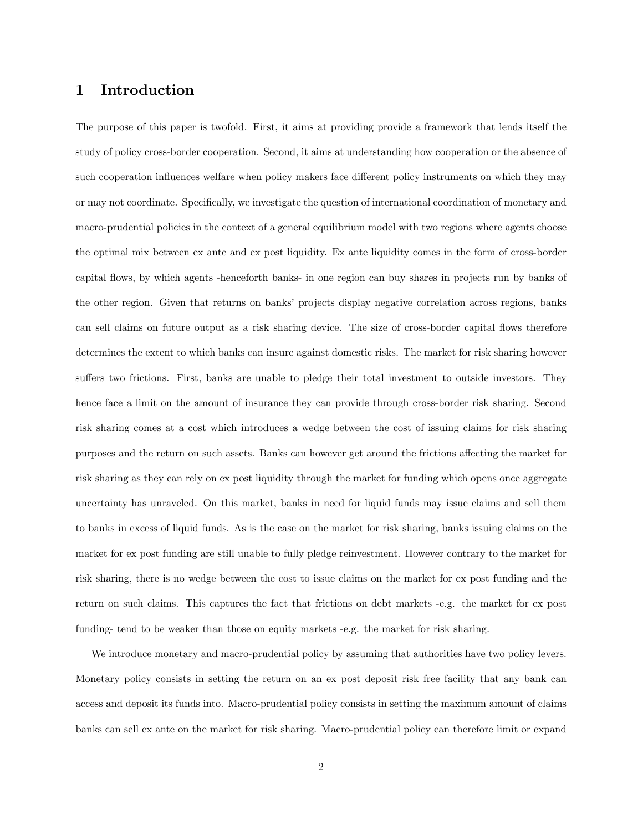## 1 Introduction

The purpose of this paper is twofold. First, it aims at providing provide a framework that lends itself the study of policy cross-border cooperation. Second, it aims at understanding how cooperation or the absence of such cooperation influences welfare when policy makers face different policy instruments on which they may or may not coordinate. Specifically, we investigate the question of international coordination of monetary and macro-prudential policies in the context of a general equilibrium model with two regions where agents choose the optimal mix between ex ante and ex post liquidity. Ex ante liquidity comes in the form of cross-border capital áows, by which agents -henceforth banks- in one region can buy shares in projects run by banks of the other region. Given that returns on banks' projects display negative correlation across regions, banks can sell claims on future output as a risk sharing device. The size of cross-border capital flows therefore determines the extent to which banks can insure against domestic risks. The market for risk sharing however suffers two frictions. First, banks are unable to pledge their total investment to outside investors. They hence face a limit on the amount of insurance they can provide through cross-border risk sharing. Second risk sharing comes at a cost which introduces a wedge between the cost of issuing claims for risk sharing purposes and the return on such assets. Banks can however get around the frictions affecting the market for risk sharing as they can rely on ex post liquidity through the market for funding which opens once aggregate uncertainty has unraveled. On this market, banks in need for liquid funds may issue claims and sell them to banks in excess of liquid funds. As is the case on the market for risk sharing, banks issuing claims on the market for ex post funding are still unable to fully pledge reinvestment. However contrary to the market for risk sharing, there is no wedge between the cost to issue claims on the market for ex post funding and the return on such claims. This captures the fact that frictions on debt markets -e.g. the market for ex post funding- tend to be weaker than those on equity markets -e.g. the market for risk sharing.

We introduce monetary and macro-prudential policy by assuming that authorities have two policy levers. Monetary policy consists in setting the return on an ex post deposit risk free facility that any bank can access and deposit its funds into. Macro-prudential policy consists in setting the maximum amount of claims banks can sell ex ante on the market for risk sharing. Macro-prudential policy can therefore limit or expand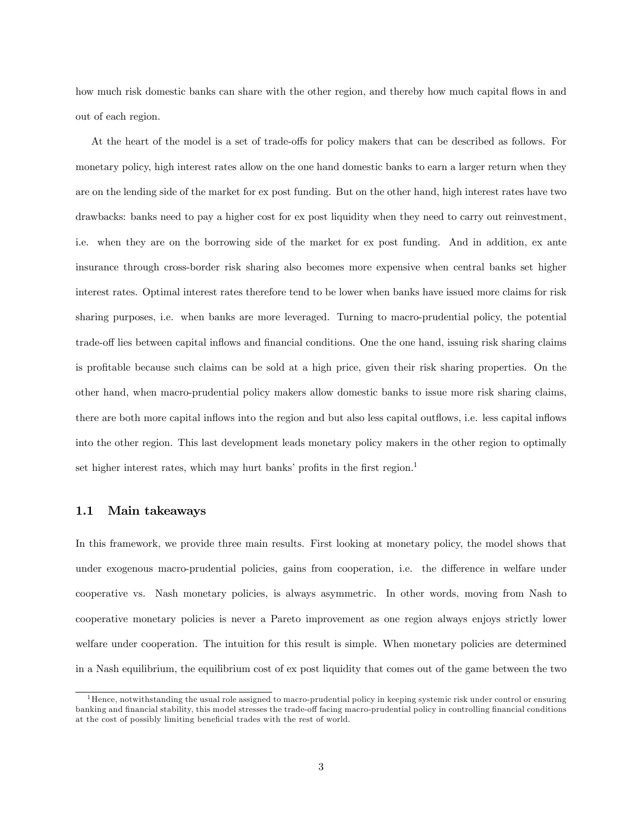how much risk domestic banks can share with the other region, and thereby how much capital flows in and out of each region.

At the heart of the model is a set of trade-offs for policy makers that can be described as follows. For monetary policy, high interest rates allow on the one hand domestic banks to earn a larger return when they are on the lending side of the market for ex post funding. But on the other hand, high interest rates have two drawbacks: banks need to pay a higher cost for ex post liquidity when they need to carry out reinvestment, i.e. when they are on the borrowing side of the market for ex post funding. And in addition, ex ante insurance through cross-border risk sharing also becomes more expensive when central banks set higher interest rates. Optimal interest rates therefore tend to be lower when banks have issued more claims for risk sharing purposes, i.e. when banks are more leveraged. Turning to macro-prudential policy, the potential trade-off lies between capital inflows and financial conditions. One the one hand, issuing risk sharing claims is profitable because such claims can be sold at a high price, given their risk sharing properties. On the other hand, when macro-prudential policy makers allow domestic banks to issue more risk sharing claims, there are both more capital inflows into the region and but also less capital outflows, i.e. less capital inflows into the other region. This last development leads monetary policy makers in the other region to optimally set higher interest rates, which may hurt banks' profits in the first region.<sup>1</sup>

#### 1.1 Main takeaways

In this framework, we provide three main results. First looking at monetary policy, the model shows that under exogenous macro-prudential policies, gains from cooperation, i.e. the difference in welfare under cooperative vs. Nash monetary policies, is always asymmetric. In other words, moving from Nash to cooperative monetary policies is never a Pareto improvement as one region always enjoys strictly lower welfare under cooperation. The intuition for this result is simple. When monetary policies are determined in a Nash equilibrium, the equilibrium cost of ex post liquidity that comes out of the game between the two

<sup>&</sup>lt;sup>1</sup>Hence, notwithstanding the usual role assigned to macro-prudential policy in keeping systemic risk under control or ensuring banking and financial stability, this model stresses the trade-off facing macro-prudential policy in controlling financial conditions at the cost of possibly limiting beneficial trades with the rest of world.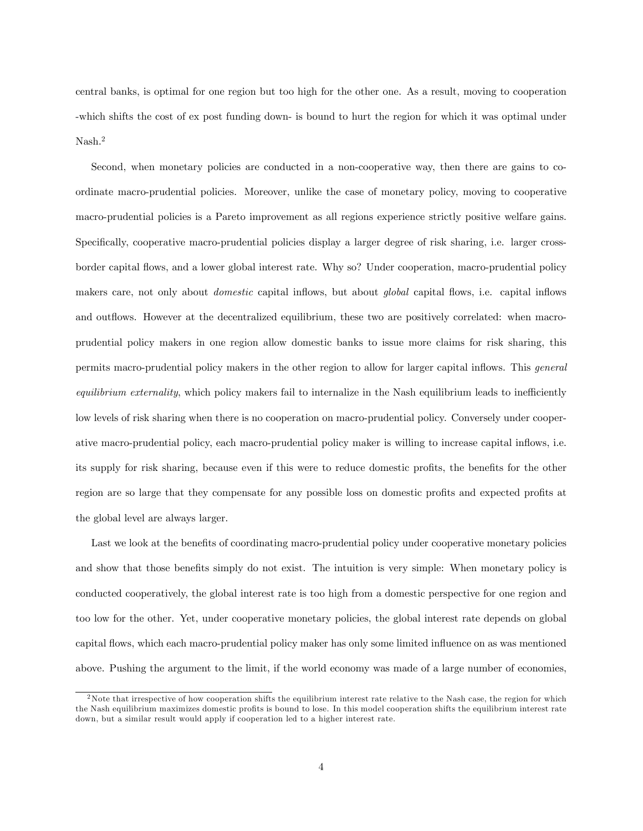central banks, is optimal for one region but too high for the other one. As a result, moving to cooperation -which shifts the cost of ex post funding down- is bound to hurt the region for which it was optimal under Nash.<sup>2</sup>

Second, when monetary policies are conducted in a non-cooperative way, then there are gains to coordinate macro-prudential policies. Moreover, unlike the case of monetary policy, moving to cooperative macro-prudential policies is a Pareto improvement as all regions experience strictly positive welfare gains. Specifically, cooperative macro-prudential policies display a larger degree of risk sharing, i.e. larger crossborder capital áows, and a lower global interest rate. Why so? Under cooperation, macro-prudential policy makers care, not only about *domestic* capital inflows, but about *global* capital flows, i.e. capital inflows and outflows. However at the decentralized equilibrium, these two are positively correlated: when macroprudential policy makers in one region allow domestic banks to issue more claims for risk sharing, this permits macro-prudential policy makers in the other region to allow for larger capital inflows. This *general* equilibrium externality, which policy makers fail to internalize in the Nash equilibrium leads to inefficiently low levels of risk sharing when there is no cooperation on macro-prudential policy. Conversely under cooperative macro-prudential policy, each macro-prudential policy maker is willing to increase capital inflows, i.e. its supply for risk sharing, because even if this were to reduce domestic profits, the benefits for the other region are so large that they compensate for any possible loss on domestic profits and expected profits at the global level are always larger.

Last we look at the benefits of coordinating macro-prudential policy under cooperative monetary policies and show that those benefits simply do not exist. The intuition is very simple: When monetary policy is conducted cooperatively, the global interest rate is too high from a domestic perspective for one region and too low for the other. Yet, under cooperative monetary policies, the global interest rate depends on global capital flows, which each macro-prudential policy maker has only some limited influence on as was mentioned above. Pushing the argument to the limit, if the world economy was made of a large number of economies,

<sup>&</sup>lt;sup>2</sup>Note that irrespective of how cooperation shifts the equilibrium interest rate relative to the Nash case, the region for which the Nash equilibrium maximizes domestic profits is bound to lose. In this model cooperation shifts the equilibrium interest rate down, but a similar result would apply if cooperation led to a higher interest rate.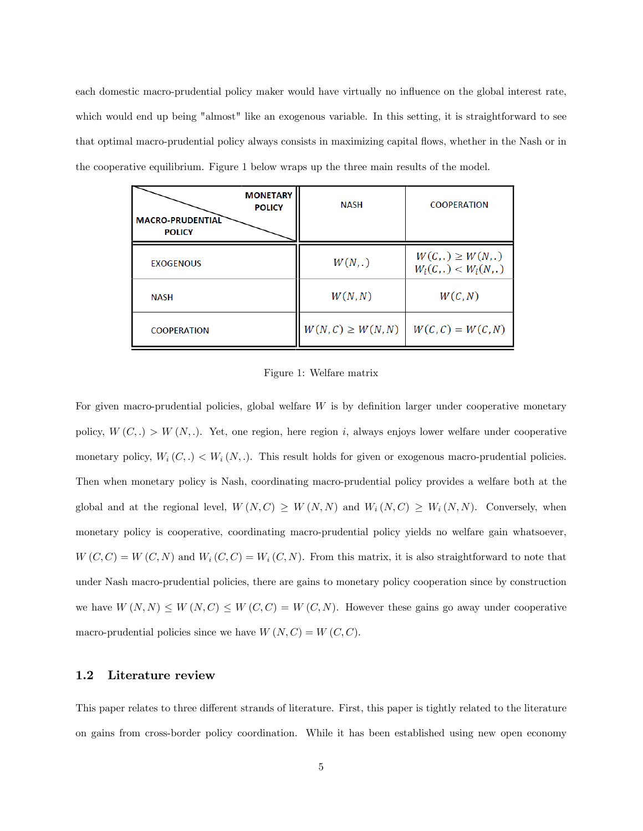each domestic macro-prudential policy maker would have virtually no influence on the global interest rate, which would end up being "almost" like an exogenous variable. In this setting, it is straightforward to see that optimal macro-prudential policy always consists in maximizing capital áows, whether in the Nash or in the cooperative equilibrium. Figure 1 below wraps up the three main results of the model.

| <b>MONETARY</b><br><b>POLICY</b><br><b>MACRO-PRUDENTIAL</b><br><b>POLICY</b> | <b>NASH</b>            | <b>COOPERATION</b>                            |
|------------------------------------------------------------------------------|------------------------|-----------------------------------------------|
| <b>EXOGENOUS</b>                                                             | W(N, .)                | $W(C,.) \geq W(N,.)$<br>$W_i(C,.) < W_i(N,.)$ |
| <b>NASH</b>                                                                  | W(N,N)                 | W(C, N)                                       |
| <b>COOPERATION</b>                                                           | $W(N, C) \geq W(N, N)$ | $W(C, C) = W(C, N)$                           |

Figure 1: Welfare matrix

For given macro-prudential policies, global welfare  $W$  is by definition larger under cooperative monetary policy,  $W(C,.) > W(N,.)$ . Yet, one region, here region i, always enjoys lower welfare under cooperative monetary policy,  $W_i(C,.) < W_i(N,.)$ . This result holds for given or exogenous macro-prudential policies. Then when monetary policy is Nash, coordinating macro-prudential policy provides a welfare both at the global and at the regional level,  $W(N, C) \geq W(N, N)$  and  $W_i(N, C) \geq W_i(N, N)$ . Conversely, when monetary policy is cooperative, coordinating macro-prudential policy yields no welfare gain whatsoever,  $W(C, C) = W(C, N)$  and  $W_i(C, C) = W_i(C, N)$ . From this matrix, it is also straightforward to note that under Nash macro-prudential policies, there are gains to monetary policy cooperation since by construction we have  $W(N, N) \leq W(N, C) \leq W(C, C) = W(C, N)$ . However these gains go away under cooperative macro-prudential policies since we have  $W(N, C) = W(C, C)$ .

#### 1.2 Literature review

This paper relates to three different strands of literature. First, this paper is tightly related to the literature on gains from cross-border policy coordination. While it has been established using new open economy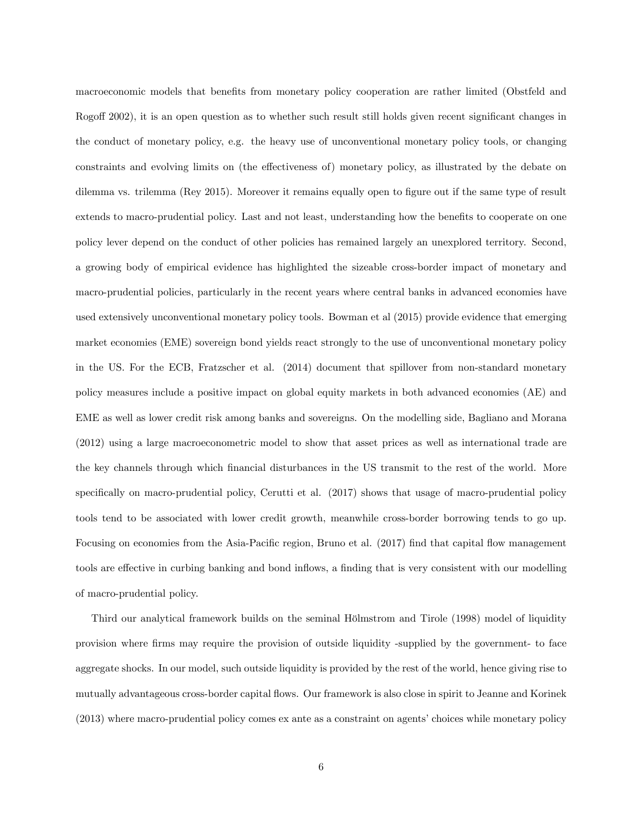macroeconomic models that benefits from monetary policy cooperation are rather limited (Obstfeld and Rogoff 2002), it is an open question as to whether such result still holds given recent significant changes in the conduct of monetary policy, e.g. the heavy use of unconventional monetary policy tools, or changing constraints and evolving limits on (the effectiveness of) monetary policy, as illustrated by the debate on dilemma vs. trilemma (Rey 2015). Moreover it remains equally open to figure out if the same type of result extends to macro-prudential policy. Last and not least, understanding how the benefits to cooperate on one policy lever depend on the conduct of other policies has remained largely an unexplored territory. Second, a growing body of empirical evidence has highlighted the sizeable cross-border impact of monetary and macro-prudential policies, particularly in the recent years where central banks in advanced economies have used extensively unconventional monetary policy tools. Bowman et al (2015) provide evidence that emerging market economies (EME) sovereign bond yields react strongly to the use of unconventional monetary policy in the US. For the ECB, Fratzscher et al. (2014) document that spillover from non-standard monetary policy measures include a positive impact on global equity markets in both advanced economies (AE) and EME as well as lower credit risk among banks and sovereigns. On the modelling side, Bagliano and Morana (2012) using a large macroeconometric model to show that asset prices as well as international trade are the key channels through which Önancial disturbances in the US transmit to the rest of the world. More specifically on macro-prudential policy, Cerutti et al. (2017) shows that usage of macro-prudential policy tools tend to be associated with lower credit growth, meanwhile cross-border borrowing tends to go up. Focusing on economies from the Asia-Pacific region, Bruno et al. (2017) find that capital flow management tools are effective in curbing banking and bond inflows, a finding that is very consistent with our modelling of macro-prudential policy.

Third our analytical framework builds on the seminal Hölmstrom and Tirole (1998) model of liquidity provision where Örms may require the provision of outside liquidity -supplied by the government- to face aggregate shocks. In our model, such outside liquidity is provided by the rest of the world, hence giving rise to mutually advantageous cross-border capital flows. Our framework is also close in spirit to Jeanne and Korinek (2013) where macro-prudential policy comes ex ante as a constraint on agents' choices while monetary policy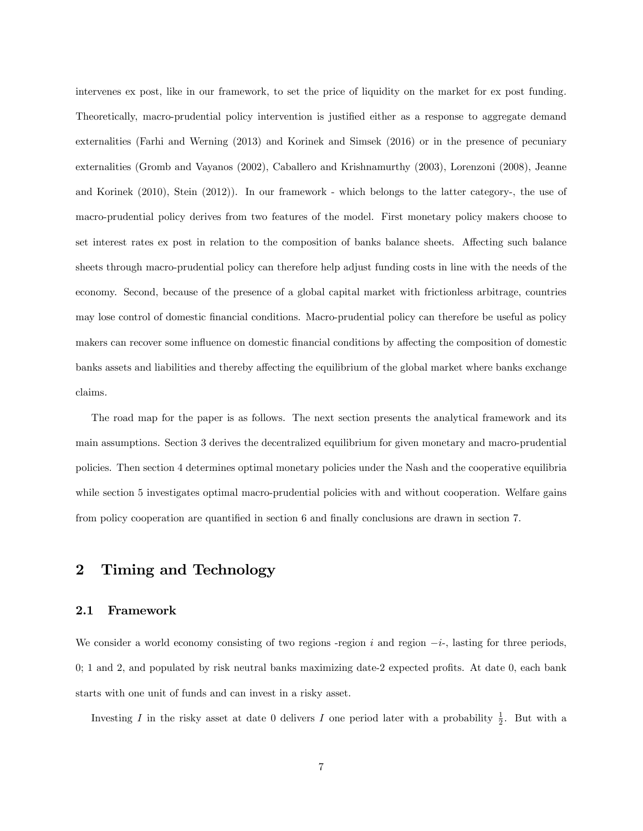intervenes ex post, like in our framework, to set the price of liquidity on the market for ex post funding. Theoretically, macro-prudential policy intervention is justified either as a response to aggregate demand externalities (Farhi and Werning (2013) and Korinek and Simsek (2016) or in the presence of pecuniary externalities (Gromb and Vayanos (2002), Caballero and Krishnamurthy (2003), Lorenzoni (2008), Jeanne and Korinek (2010), Stein (2012)). In our framework - which belongs to the latter category-, the use of macro-prudential policy derives from two features of the model. First monetary policy makers choose to set interest rates ex post in relation to the composition of banks balance sheets. Affecting such balance sheets through macro-prudential policy can therefore help adjust funding costs in line with the needs of the economy. Second, because of the presence of a global capital market with frictionless arbitrage, countries may lose control of domestic financial conditions. Macro-prudential policy can therefore be useful as policy makers can recover some influence on domestic financial conditions by affecting the composition of domestic banks assets and liabilities and thereby affecting the equilibrium of the global market where banks exchange claims.

The road map for the paper is as follows. The next section presents the analytical framework and its main assumptions. Section 3 derives the decentralized equilibrium for given monetary and macro-prudential policies. Then section 4 determines optimal monetary policies under the Nash and the cooperative equilibria while section 5 investigates optimal macro-prudential policies with and without cooperation. Welfare gains from policy cooperation are quantified in section 6 and finally conclusions are drawn in section 7.

# 2 Timing and Technology

#### 2.1 Framework

We consider a world economy consisting of two regions -region i and region  $-i$ -, lasting for three periods,  $0; 1$  and 2, and populated by risk neutral banks maximizing date-2 expected profits. At date  $0$ , each bank starts with one unit of funds and can invest in a risky asset.

Investing I in the risky asset at date 0 delivers I one period later with a probability  $\frac{1}{2}$ . But with a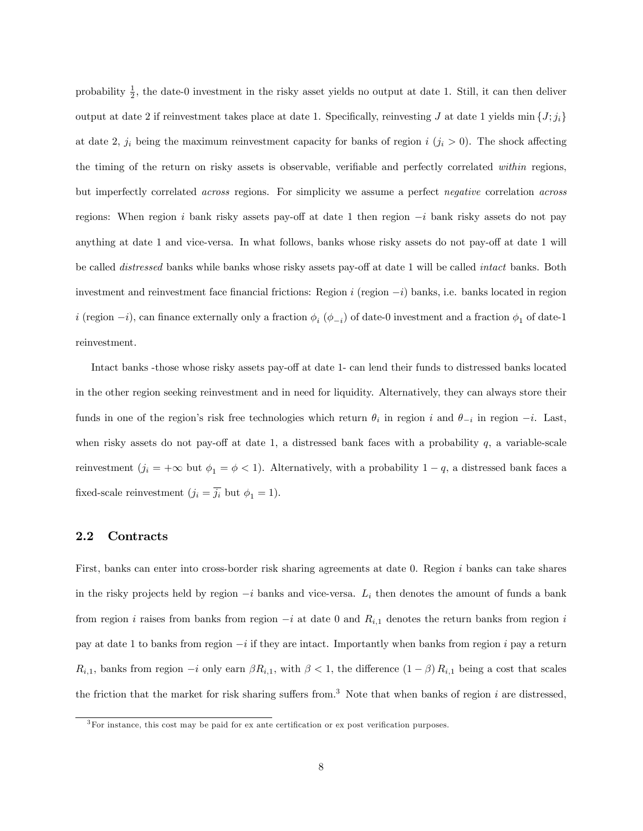probability  $\frac{1}{2}$ , the date-0 investment in the risky asset yields no output at date 1. Still, it can then deliver output at date 2 if reinvestment takes place at date 1. Specifically, reinvesting J at date 1 yields min  $\{J; j_i\}$ at date 2,  $j_i$  being the maximum reinvestment capacity for banks of region i  $(j_i > 0)$ . The shock affecting the timing of the return on risky assets is observable, verifiable and perfectly correlated within regions, but imperfectly correlated across regions. For simplicity we assume a perfect negative correlation across regions: When region i bank risky assets pay-off at date 1 then region  $-i$  bank risky assets do not pay anything at date 1 and vice-versa. In what follows, banks whose risky assets do not pay-off at date 1 will be called *distressed* banks while banks whose risky assets pay-off at date 1 will be called *intact* banks. Both investment and reinvestment face financial frictions: Region  $i$  (region  $-i$ ) banks, i.e. banks located in region  $i$  (region  $-i$ ), can finance externally only a fraction  $\phi_i$  ( $\phi_{-i}$ ) of date-0 investment and a fraction  $\phi_1$  of date-1 reinvestment.

Intact banks -those whose risky assets pay-off at date 1- can lend their funds to distressed banks located in the other region seeking reinvestment and in need for liquidity. Alternatively, they can always store their funds in one of the region's risk free technologies which return  $\theta_i$  in region i and  $\theta_{-i}$  in region  $-i$ . Last, when risky assets do not pay-off at date 1, a distressed bank faces with a probability  $q$ , a variable-scale reinvestment  $(j_i = +\infty$  but  $\phi_1 = \phi < 1$ . Alternatively, with a probability  $1 - q$ , a distressed bank faces a fixed-scale reinvestment  $(j_i = \overline{j_i}$  but  $\phi_1 = 1$ ).

#### 2.2 Contracts

First, banks can enter into cross-border risk sharing agreements at date 0. Region i banks can take shares in the risky projects held by region  $-i$  banks and vice-versa.  $L_i$  then denotes the amount of funds a bank from region i raises from banks from region  $-i$  at date 0 and  $R_{i,1}$  denotes the return banks from region i pay at date 1 to banks from region  $-i$  if they are intact. Importantly when banks from region i pay a return  $R_{i,1}$ , banks from region  $-i$  only earn  $\beta R_{i,1}$ , with  $\beta < 1$ , the difference  $(1 - \beta) R_{i,1}$  being a cost that scales the friction that the market for risk sharing suffers from.<sup>3</sup> Note that when banks of region i are distressed,

 $3$ For instance, this cost may be paid for ex ante certification or ex post verification purposes.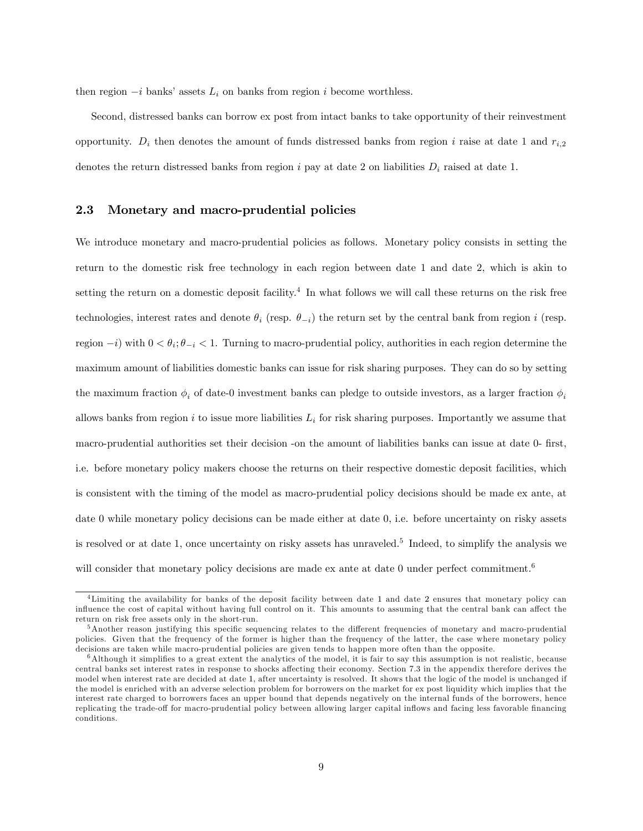then region  $-i$  banks' assets  $L_i$  on banks from region i become worthless.

Second, distressed banks can borrow ex post from intact banks to take opportunity of their reinvestment opportunity.  $D_i$  then denotes the amount of funds distressed banks from region i raise at date 1 and  $r_{i,2}$ denotes the return distressed banks from region i pay at date 2 on liabilities  $D_i$  raised at date 1.

#### 2.3 Monetary and macro-prudential policies

We introduce monetary and macro-prudential policies as follows. Monetary policy consists in setting the return to the domestic risk free technology in each region between date 1 and date 2, which is akin to setting the return on a domestic deposit facility.<sup>4</sup> In what follows we will call these returns on the risk free technologies, interest rates and denote  $\theta_i$  (resp.  $\theta_{-i}$ ) the return set by the central bank from region i (resp. region  $-i$ ) with  $0 < \theta_i$ ;  $\theta_{-i} < 1$ . Turning to macro-prudential policy, authorities in each region determine the maximum amount of liabilities domestic banks can issue for risk sharing purposes. They can do so by setting the maximum fraction  $\phi_i$  of date-0 investment banks can pledge to outside investors, as a larger fraction  $\phi_i$ allows banks from region i to issue more liabilities  $L_i$  for risk sharing purposes. Importantly we assume that macro-prudential authorities set their decision -on the amount of liabilities banks can issue at date 0- first, i.e. before monetary policy makers choose the returns on their respective domestic deposit facilities, which is consistent with the timing of the model as macro-prudential policy decisions should be made ex ante, at date 0 while monetary policy decisions can be made either at date 0, i.e. before uncertainty on risky assets is resolved or at date 1, once uncertainty on risky assets has unraveled.<sup>5</sup> Indeed, to simplify the analysis we will consider that monetary policy decisions are made ex ante at date 0 under perfect commitment.<sup>6</sup>

<sup>4</sup>Limiting the availability for banks of the deposit facility between date 1 and date 2 ensures that monetary policy can influence the cost of capital without having full control on it. This amounts to assuming that the central bank can affect the return on risk free assets only in the short-run.

 $5$ Another reason justifying this specific sequencing relates to the different frequencies of monetary and macro-prudential policies. Given that the frequency of the former is higher than the frequency of the latter, the case where monetary policy decisions are taken while macro-prudential policies are given tends to happen more often than the opposite.

 $6$ Although it simplifies to a great extent the analytics of the model, it is fair to say this assumption is not realistic, because central banks set interest rates in response to shocks affecting their economy. Section 7.3 in the appendix therefore derives the model when interest rate are decided at date 1, after uncertainty is resolved. It shows that the logic of the model is unchanged if the model is enriched with an adverse selection problem for borrowers on the market for ex post liquidity which implies that the interest rate charged to borrowers faces an upper bound that depends negatively on the internal funds of the borrowers, hence replicating the trade-off for macro-prudential policy between allowing larger capital inflows and facing less favorable financing conditions.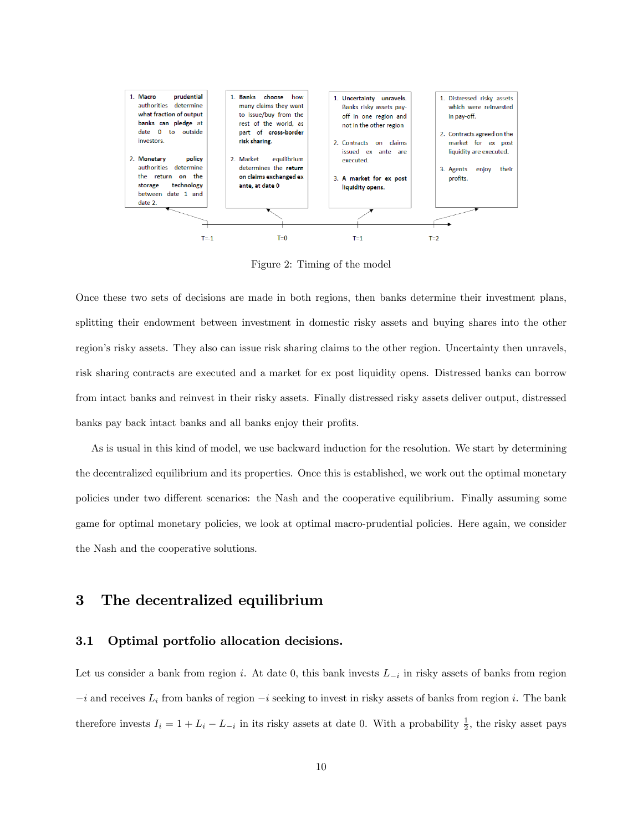

Figure 2: Timing of the model

Once these two sets of decisions are made in both regions, then banks determine their investment plans, splitting their endowment between investment in domestic risky assets and buying shares into the other region's risky assets. They also can issue risk sharing claims to the other region. Uncertainty then unravels, risk sharing contracts are executed and a market for ex post liquidity opens. Distressed banks can borrow from intact banks and reinvest in their risky assets. Finally distressed risky assets deliver output, distressed banks pay back intact banks and all banks enjoy their profits.

As is usual in this kind of model, we use backward induction for the resolution. We start by determining the decentralized equilibrium and its properties. Once this is established, we work out the optimal monetary policies under two different scenarios: the Nash and the cooperative equilibrium. Finally assuming some game for optimal monetary policies, we look at optimal macro-prudential policies. Here again, we consider the Nash and the cooperative solutions.

# 3 The decentralized equilibrium

#### 3.1 Optimal portfolio allocation decisions.

Let us consider a bank from region *i*. At date 0, this bank invests  $L_{-i}$  in risky assets of banks from region  $-i$  and receives  $L_i$  from banks of region  $-i$  seeking to invest in risky assets of banks from region i. The bank therefore invests  $I_i = 1 + L_i - L_{-i}$  in its risky assets at date 0. With a probability  $\frac{1}{2}$ , the risky asset pays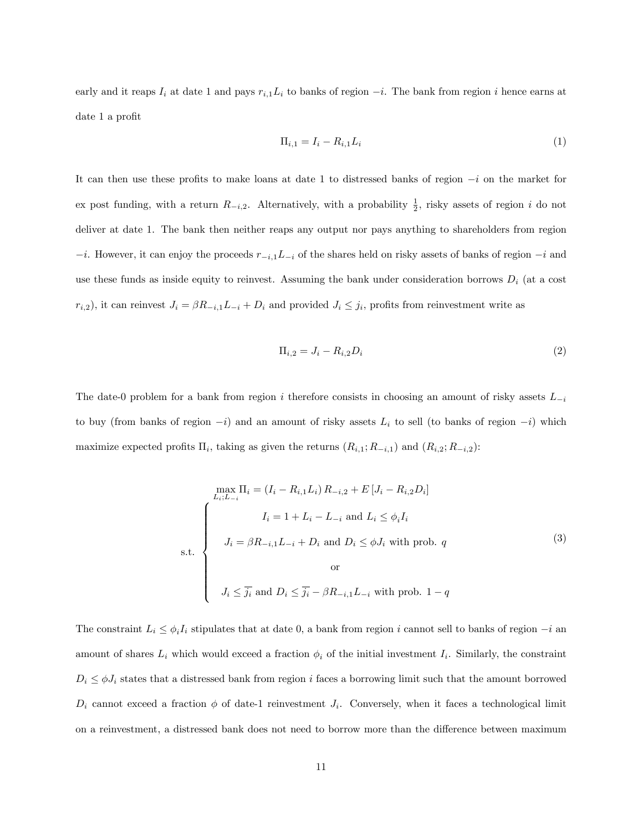early and it reaps  $I_i$  at date 1 and pays  $r_{i,1}L_i$  to banks of region  $-i$ . The bank from region i hence earns at date 1 a profit $\,$ 

$$
\Pi_{i,1} = I_i - R_{i,1} L_i \tag{1}
$$

It can then use these profits to make loans at date 1 to distressed banks of region  $-i$  on the market for ex post funding, with a return  $R_{-i,2}$ . Alternatively, with a probability  $\frac{1}{2}$ , risky assets of region i do not deliver at date 1. The bank then neither reaps any output nor pays anything to shareholders from region  $-i$ . However, it can enjoy the proceeds  $r_{-i,1}L_{-i}$  of the shares held on risky assets of banks of region  $-i$  and use these funds as inside equity to reinvest. Assuming the bank under consideration borrows  $D_i$  (at a cost  $r_{i,2}$ , it can reinvest  $J_i = \beta R_{-i,1} L_{-i} + D_i$  and provided  $J_i \leq j_i$ , profits from reinvestment write as

$$
\Pi_{i,2} = J_i - R_{i,2} D_i \tag{2}
$$

The date-0 problem for a bank from region i therefore consists in choosing an amount of risky assets  $L_{-i}$ to buy (from banks of region  $-i$ ) and an amount of risky assets  $L_i$  to sell (to banks of region  $-i$ ) which maximize expected profits  $\Pi_i$ , taking as given the returns  $(R_{i,1}; R_{-i,1})$  and  $(R_{i,2}; R_{-i,2})$ :

$$
\begin{aligned}\n\max_{L_i;L_{-i}} \Pi_i &= \left(I_i - R_{i,1}L_i\right)R_{-i,2} + E\left[J_i - R_{i,2}D_i\right] \\
I_i &= 1 + L_i - L_{-i} \text{ and } L_i \le \phi_i I_i \\
J_i &= \beta R_{-i,1}L_{-i} + D_i \text{ and } D_i \le \phi J_i \text{ with prob. } q\n\end{aligned} \tag{3}
$$
\n
$$
\text{s.t.} \quad\n\begin{cases}\nI_i = \beta R_{-i,1}L_{-i} + D_i \text{ and } D_i \le \phi J_i \text{ with prob. } q \\
\text{or} \\
J_i \le \overline{j_i} \text{ and } D_i \le \overline{j_i} - \beta R_{-i,1}L_{-i} \text{ with prob. } 1 - q\n\end{cases}
$$

The constraint  $L_i \leq \phi_i I_i$  stipulates that at date 0, a bank from region i cannot sell to banks of region  $-i$  and amount of shares  $L_i$  which would exceed a fraction  $\phi_i$  of the initial investment  $I_i$ . Similarly, the constraint  $D_i \leq \phi J_i$  states that a distressed bank from region i faces a borrowing limit such that the amount borrowed  $D_i$  cannot exceed a fraction  $\phi$  of date-1 reinvestment  $J_i$ . Conversely, when it faces a technological limit on a reinvestment, a distressed bank does not need to borrow more than the difference between maximum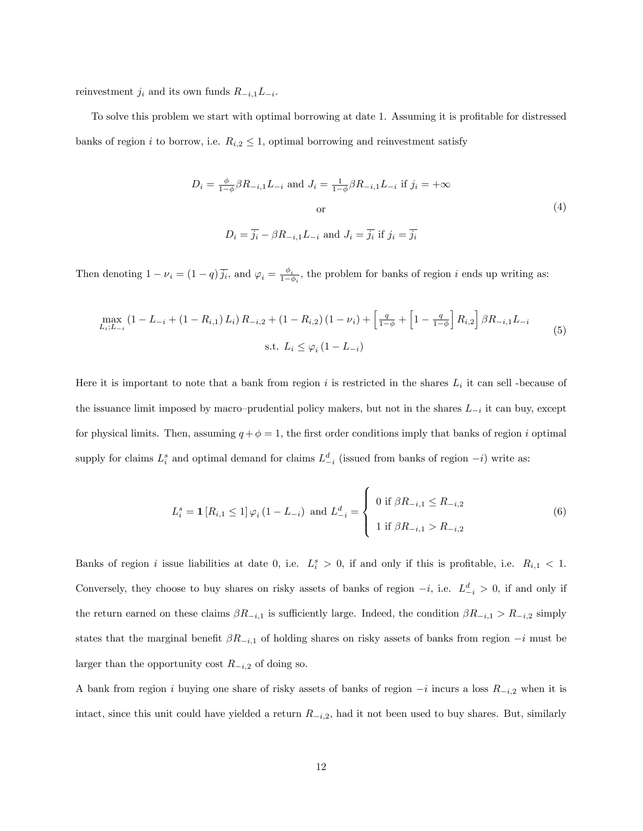reinvestment  $j_i$  and its own funds  $R_{-i,1}L_{-i}$ .

To solve this problem we start with optimal borrowing at date 1. Assuming it is profitable for distressed banks of region i to borrow, i.e.  $R_{i,2} \leq 1$ , optimal borrowing and reinvestment satisfy

$$
D_i = \frac{\phi}{1-\phi} \beta R_{-i,1} L_{-i} \text{ and } J_i = \frac{1}{1-\phi} \beta R_{-i,1} L_{-i} \text{ if } j_i = +\infty
$$
  
or  

$$
D_i = \overline{j_i} - \beta R_{-i,1} L_{-i} \text{ and } J_i = \overline{j_i} \text{ if } j_i = \overline{j_i}
$$
 (4)

Then denoting  $1 - \nu_i = (1 - q) \overline{j_i}$ , and  $\varphi_i = \frac{\phi_i}{1 - q}$  $\frac{\varphi_i}{1-\phi_i}$ , the problem for banks of region *i* ends up writing as:

$$
\max_{L_i;L_{-i}} (1 - L_{-i} + (1 - R_{i,1}) L_i) R_{-i,2} + (1 - R_{i,2}) (1 - \nu_i) + \left[ \frac{q}{1 - \phi} + \left[ 1 - \frac{q}{1 - \phi} \right] R_{i,2} \right] \beta R_{-i,1} L_{-i}
$$
\n
$$
\text{s.t. } L_i \leq \varphi_i (1 - L_{-i}) \tag{5}
$$

Here it is important to note that a bank from region i is restricted in the shares  $L_i$  it can sell -because of the issuance limit imposed by macro-prudential policy makers, but not in the shares  $L_{-i}$  it can buy, except for physical limits. Then, assuming  $q + \phi = 1$ , the first order conditions imply that banks of region i optimal supply for claims  $L_i^s$  and optimal demand for claims  $L_{-i}^d$  (issued from banks of region  $-i$ ) write as:

$$
L_i^s = \mathbf{1}[R_{i,1} \le 1] \varphi_i (1 - L_{-i}) \text{ and } L_{-i}^d = \begin{cases} 0 \text{ if } \beta R_{-i,1} \le R_{-i,2} \\ 1 \text{ if } \beta R_{-i,1} > R_{-i,2} \end{cases}
$$
(6)

Banks of region i issue liabilities at date 0, i.e.  $L_i^s > 0$ , if and only if this is profitable, i.e.  $R_{i,1} < 1$ . Conversely, they choose to buy shares on risky assets of banks of region  $-i$ , i.e.  $L_{-i}^{d} > 0$ , if and only if the return earned on these claims  $\beta R_{-i,1}$  is sufficiently large. Indeed, the condition  $\beta R_{-i,1} > R_{-i,2}$  simply states that the marginal benefit  $\beta R_{-i,1}$  of holding shares on risky assets of banks from region  $-i$  must be larger than the opportunity cost  $R_{-i,2}$  of doing so.

A bank from region i buying one share of risky assets of banks of region  $-i$  incurs a loss  $R_{-i,2}$  when it is intact, since this unit could have yielded a return  $R_{-i,2}$ , had it not been used to buy shares. But, similarly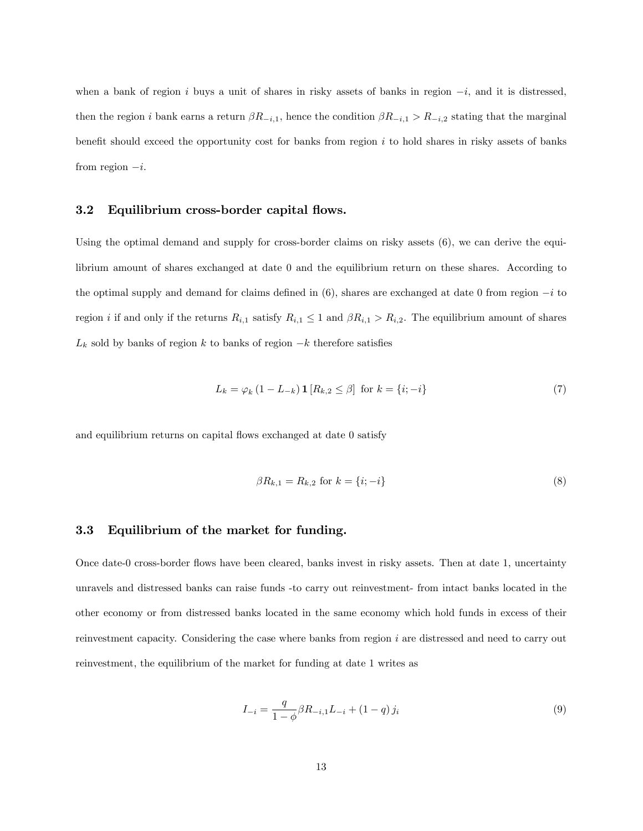when a bank of region i buys a unit of shares in risky assets of banks in region  $-i$ , and it is distressed, then the region i bank earns a return  $\beta R_{-i,1}$ , hence the condition  $\beta R_{-i,1} > R_{-i,2}$  stating that the marginal benefit should exceed the opportunity cost for banks from region  $i$  to hold shares in risky assets of banks from region  $-i$ .

#### 3.2 Equilibrium cross-border capital flows.

Using the optimal demand and supply for cross-border claims on risky assets (6), we can derive the equilibrium amount of shares exchanged at date 0 and the equilibrium return on these shares. According to the optimal supply and demand for claims defined in  $(6)$ , shares are exchanged at date 0 from region  $-i$  to region *i* if and only if the returns  $R_{i,1}$  satisfy  $R_{i,1} \leq 1$  and  $\beta R_{i,1} > R_{i,2}$ . The equilibrium amount of shares  $L_k$  sold by banks of region k to banks of region  $-k$  therefore satisfies

$$
L_k = \varphi_k (1 - L_{-k}) \mathbf{1} [R_{k,2} \le \beta] \text{ for } k = \{i, -i\}
$$
 (7)

and equilibrium returns on capital flows exchanged at date 0 satisfy

$$
\beta R_{k,1} = R_{k,2} \text{ for } k = \{i; -i\}
$$
\n(8)

## 3.3 Equilibrium of the market for funding.

Once date-0 cross-border áows have been cleared, banks invest in risky assets. Then at date 1, uncertainty unravels and distressed banks can raise funds -to carry out reinvestment- from intact banks located in the other economy or from distressed banks located in the same economy which hold funds in excess of their reinvestment capacity. Considering the case where banks from region i are distressed and need to carry out reinvestment, the equilibrium of the market for funding at date 1 writes as

$$
I_{-i} = \frac{q}{1 - \phi} \beta R_{-i,1} L_{-i} + (1 - q) j_i
$$
\n(9)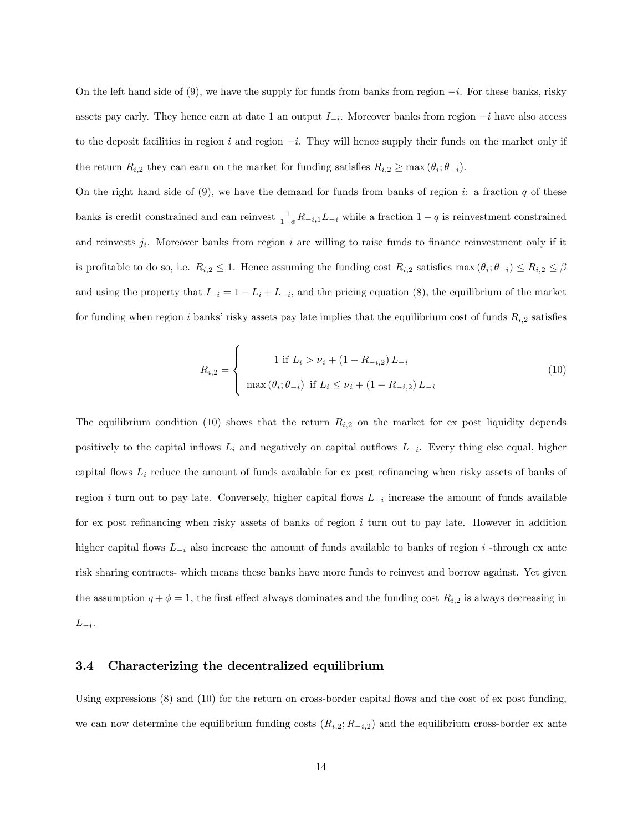On the left hand side of  $(9)$ , we have the supply for funds from banks from region  $-i$ . For these banks, risky assets pay early. They hence earn at date 1 an output  $I_{-i}$ . Moreover banks from region  $-i$  have also access to the deposit facilities in region i and region  $-i$ . They will hence supply their funds on the market only if the return  $R_{i,2}$  they can earn on the market for funding satisfies  $R_{i,2} \ge \max(\theta_i;\theta_{-i}).$ 

On the right hand side of  $(9)$ , we have the demand for funds from banks of region i: a fraction q of these banks is credit constrained and can reinvest  $\frac{1}{1-\phi}R_{-i,1}L_{-i}$  while a fraction  $1-q$  is reinvestment constrained and reinvests  $j_i$ . Moreover banks from region i are willing to raise funds to finance reinvestment only if it is profitable to do so, i.e.  $R_{i,2} \leq 1$ . Hence assuming the funding cost  $R_{i,2}$  satisfies  $\max(\theta_i; \theta_{-i}) \leq R_{i,2} \leq \beta$ and using the property that  $I_{-i} = 1 - L_i + L_{-i}$ , and the pricing equation (8), the equilibrium of the market for funding when region i banks' risky assets pay late implies that the equilibrium cost of funds  $R_{i,2}$  satisfies

$$
R_{i,2} = \begin{cases} 1 \text{ if } L_i > \nu_i + (1 - R_{-i,2}) L_{-i} \\ \max(\theta_i; \theta_{-i}) \text{ if } L_i \le \nu_i + (1 - R_{-i,2}) L_{-i} \end{cases}
$$
(10)

The equilibrium condition (10) shows that the return  $R_{i,2}$  on the market for ex post liquidity depends positively to the capital inflows  $L_i$  and negatively on capital outflows  $L_{-i}$ . Every thing else equal, higher capital flows  $L_i$  reduce the amount of funds available for ex post refinancing when risky assets of banks of region *i* turn out to pay late. Conversely, higher capital flows  $L_{-i}$  increase the amount of funds available for ex post refinancing when risky assets of banks of region  $i$  turn out to pay late. However in addition higher capital flows  $L_{-i}$  also increase the amount of funds available to banks of region i -through ex ante risk sharing contracts- which means these banks have more funds to reinvest and borrow against. Yet given the assumption  $q + \phi = 1$ , the first effect always dominates and the funding cost  $R_{i,2}$  is always decreasing in  $L_{-i}$ .

#### 3.4 Characterizing the decentralized equilibrium

Using expressions  $(8)$  and  $(10)$  for the return on cross-border capital flows and the cost of ex post funding, we can now determine the equilibrium funding costs  $(R_{i,2}; R_{-i,2})$  and the equilibrium cross-border ex ante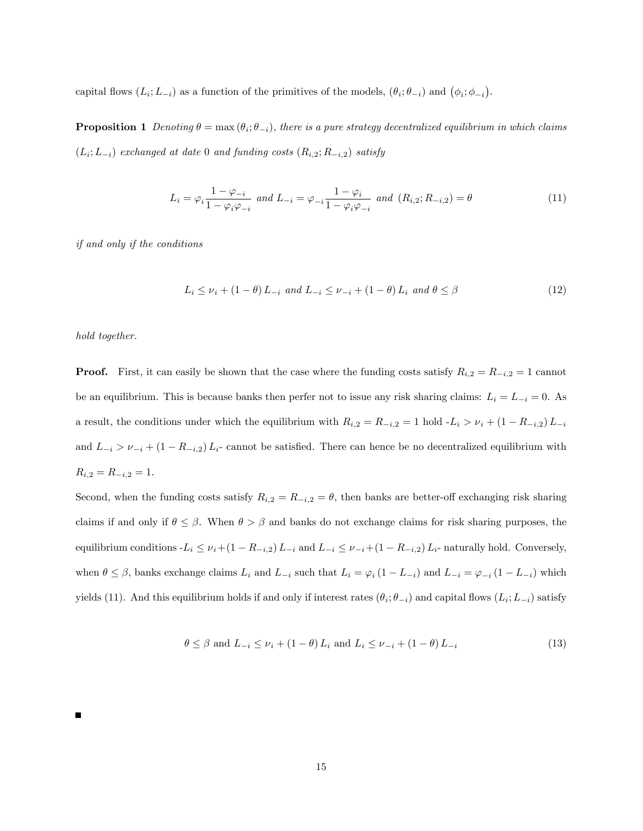capital flows  $(L_i; L_{-i})$  as a function of the primitives of the models,  $(\theta_i; \theta_{-i})$  and  $(\phi_i; \phi_{-i})$ .

**Proposition 1** Denoting  $\theta = \max(\theta_i; \theta_{-i})$ , there is a pure strategy decentralized equilibrium in which claims  $(L_i; L_{-i})$  exchanged at date 0 and funding costs  $(R_{i,2}; R_{-i,2})$  satisfy

$$
L_i = \varphi_i \frac{1 - \varphi_{-i}}{1 - \varphi_i \varphi_{-i}} \text{ and } L_{-i} = \varphi_{-i} \frac{1 - \varphi_i}{1 - \varphi_i \varphi_{-i}} \text{ and } (R_{i,2}; R_{-i,2}) = \theta
$$
\n(11)

if and only if the conditions

$$
L_i \le \nu_i + (1 - \theta) L_{-i} \text{ and } L_{-i} \le \nu_{-i} + (1 - \theta) L_i \text{ and } \theta \le \beta
$$
\n
$$
(12)
$$

hold together.

**Proof.** First, it can easily be shown that the case where the funding costs satisfy  $R_{i,2} = R_{-i,2} = 1$  cannot be an equilibrium. This is because banks then perfer not to issue any risk sharing claims:  $L_i = L_{-i} = 0$ . As a result, the conditions under which the equilibrium with  $R_{i,2} = R_{-i,2} = 1$  hold  $-L_i > \nu_i + (1 - R_{-i,2})L_{-i}$ and  $L_{-i} > \nu_{-i} + (1 - R_{-i,2})L_i$ - cannot be satisfied. There can hence be no decentralized equilibrium with  $R_{i,2} = R_{-i,2} = 1.$ 

Second, when the funding costs satisfy  $R_{i,2} = R_{-i,2} = \theta$ , then banks are better-off exchanging risk sharing claims if and only if  $\theta \leq \beta$ . When  $\theta > \beta$  and banks do not exchange claims for risk sharing purposes, the equilibrium conditions  $-L_i \leq \nu_i+(1 - R_{-i,2})L_{-i}$  and  $L_{-i} \leq \nu_{-i}+(1 - R_{-i,2})L_i$ - naturally hold. Conversely, when  $\theta \leq \beta$ , banks exchange claims  $L_i$  and  $L_{-i}$  such that  $L_i = \varphi_i (1 - L_{-i})$  and  $L_{-i} = \varphi_{-i} (1 - L_{-i})$  which yields (11). And this equilibrium holds if and only if interest rates  $(\theta_i; \theta_{-i})$  and capital flows  $(L_i; L_{-i})$  satisfy

$$
\theta \le \beta \text{ and } L_{-i} \le \nu_i + (1 - \theta) L_i \text{ and } L_i \le \nu_{-i} + (1 - \theta) L_{-i} \tag{13}
$$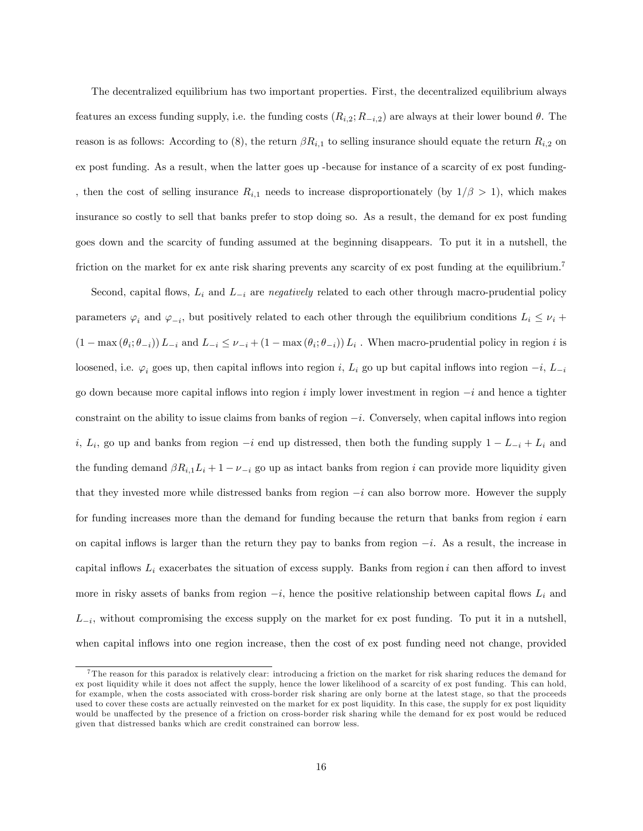The decentralized equilibrium has two important properties. First, the decentralized equilibrium always features an excess funding supply, i.e. the funding costs  $(R_{i,2}; R_{-i,2})$  are always at their lower bound  $\theta$ . The reason is as follows: According to (8), the return  $\beta R_{i,1}$  to selling insurance should equate the return  $R_{i,2}$  on ex post funding. As a result, when the latter goes up -because for instance of a scarcity of ex post funding- , then the cost of selling insurance  $R_{i,1}$  needs to increase disproportionately (by  $1/\beta > 1$ ), which makes insurance so costly to sell that banks prefer to stop doing so. As a result, the demand for ex post funding goes down and the scarcity of funding assumed at the beginning disappears. To put it in a nutshell, the friction on the market for ex ante risk sharing prevents any scarcity of ex post funding at the equilibrium.<sup>7</sup>

Second, capital flows,  $L_i$  and  $L_{-i}$  are negatively related to each other through macro-prudential policy parameters  $\varphi_i$  and  $\varphi_{-i}$ , but positively related to each other through the equilibrium conditions  $L_i \le \nu_i +$  $(1 - \max(\theta_i; \theta_{-i})) L_{-i}$  and  $L_{-i} \leq \nu_{-i} + (1 - \max(\theta_i; \theta_{-i})) L_i$ . When macro-prudential policy in region i is loosened, i.e.  $\varphi_i$  goes up, then capital inflows into region i,  $L_i$  go up but capital inflows into region  $-i$ ,  $L_{-i}$ go down because more capital inflows into region i imply lower investment in region  $-i$  and hence a tighter constraint on the ability to issue claims from banks of region  $-i$ . Conversely, when capital inflows into region i,  $L_i$ , go up and banks from region  $-i$  end up distressed, then both the funding supply  $1 - L_{-i} + L_i$  and the funding demand  $\beta R_{i,1}L_i + 1 - \nu_{-i}$  go up as intact banks from region i can provide more liquidity given that they invested more while distressed banks from region  $-i$  can also borrow more. However the supply for funding increases more than the demand for funding because the return that banks from region i earn on capital inflows is larger than the return they pay to banks from region  $-i$ . As a result, the increase in capital inflows  $L_i$  exacerbates the situation of excess supply. Banks from region i can then afford to invest more in risky assets of banks from region  $-i$ , hence the positive relationship between capital flows  $L_i$  and  $L_{-i}$ , without compromising the excess supply on the market for ex post funding. To put it in a nutshell, when capital inflows into one region increase, then the cost of ex post funding need not change, provided

<sup>7</sup> The reason for this paradox is relatively clear: introducing a friction on the market for risk sharing reduces the demand for ex post liquidity while it does not affect the supply, hence the lower likelihood of a scarcity of ex post funding. This can hold, for example, when the costs associated with cross-border risk sharing are only borne at the latest stage, so that the proceeds used to cover these costs are actually reinvested on the market for ex post liquidity. In this case, the supply for ex post liquidity would be unaffected by the presence of a friction on cross-border risk sharing while the demand for ex post would be reduced given that distressed banks which are credit constrained can borrow less.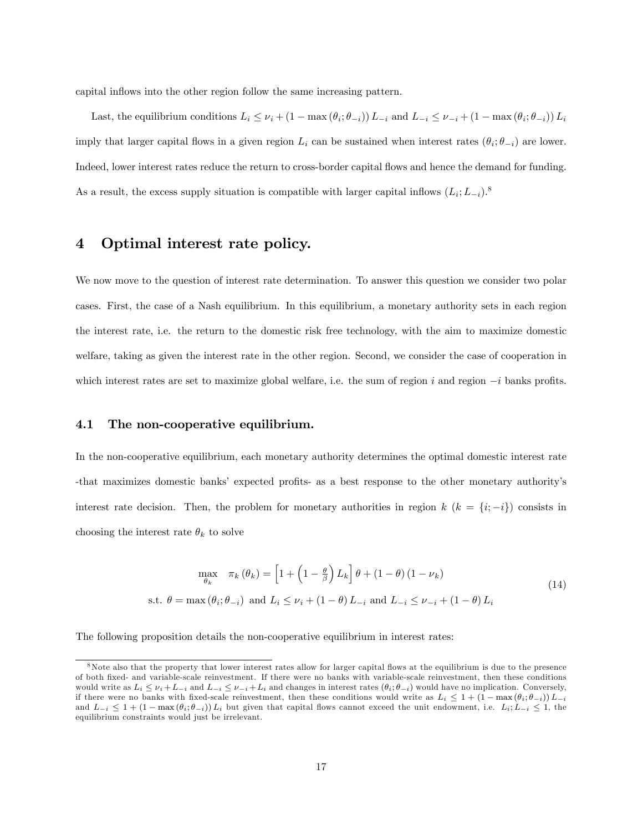capital inflows into the other region follow the same increasing pattern.

Last, the equilibrium conditions  $L_i \leq \nu_i + (1 - \max(\theta_i; \theta_{-i})) L_{-i}$  and  $L_{-i} \leq \nu_{-i} + (1 - \max(\theta_i; \theta_{-i})) L_i$ imply that larger capital flows in a given region  $L_i$  can be sustained when interest rates  $(\theta_i; \theta_{-i})$  are lower. Indeed, lower interest rates reduce the return to cross-border capital áows and hence the demand for funding. As a result, the excess supply situation is compatible with larger capital inflows  $(L_i; L_{-i})$ .<sup>8</sup>

# 4 Optimal interest rate policy.

We now move to the question of interest rate determination. To answer this question we consider two polar cases. First, the case of a Nash equilibrium. In this equilibrium, a monetary authority sets in each region the interest rate, i.e. the return to the domestic risk free technology, with the aim to maximize domestic welfare, taking as given the interest rate in the other region. Second, we consider the case of cooperation in which interest rates are set to maximize global welfare, i.e. the sum of region i and region  $-i$  banks profits.

#### 4.1 The non-cooperative equilibrium.

In the non-cooperative equilibrium, each monetary authority determines the optimal domestic interest rate -that maximizes domestic banks' expected profits- as a best response to the other monetary authority's interest rate decision. Then, the problem for monetary authorities in region  $k$   $(k = \{i, -i\})$  consists in choosing the interest rate  $\theta_k$  to solve

$$
\max_{\theta_k} \quad \pi_k(\theta_k) = \left[1 + \left(1 - \frac{\theta}{\beta}\right)L_k\right]\theta + (1 - \theta)\left(1 - \nu_k\right)
$$
\n
$$
\text{s.t. } \theta = \max(\theta_i; \theta_{-i}) \text{ and } L_i \le \nu_i + (1 - \theta)L_{-i} \text{ and } L_{-i} \le \nu_{-i} + (1 - \theta)L_i
$$
\n
$$
(14)
$$

The following proposition details the non-cooperative equilibrium in interest rates:

<sup>&</sup>lt;sup>8</sup>Note also that the property that lower interest rates allow for larger capital flows at the equilibrium is due to the presence of both Öxed- and variable-scale reinvestment. If there were no banks with variable-scale reinvestment, then these conditions would write as  $L_i \le \nu_i + L_{-i}$  and  $L_{-i} \le \nu_{-i} + L_i$  and changes in interest rates  $(\theta_i; \theta_{-i})$  would have no implication. Conversely, if there were no banks with fixed-scale reinvestment, then these conditions would write as  $L_i \leq 1 + (1 - \max(\theta_i; \theta_{-i})) L_{-i}$ and  $L_{-i} \leq 1 + (1 - \max(\theta_i; \theta_{-i})) L_i$  but given that capital flows cannot exceed the unit endowment, i.e.  $L_i; L_{-i} \leq 1$ , the equilibrium constraints would just be irrelevant.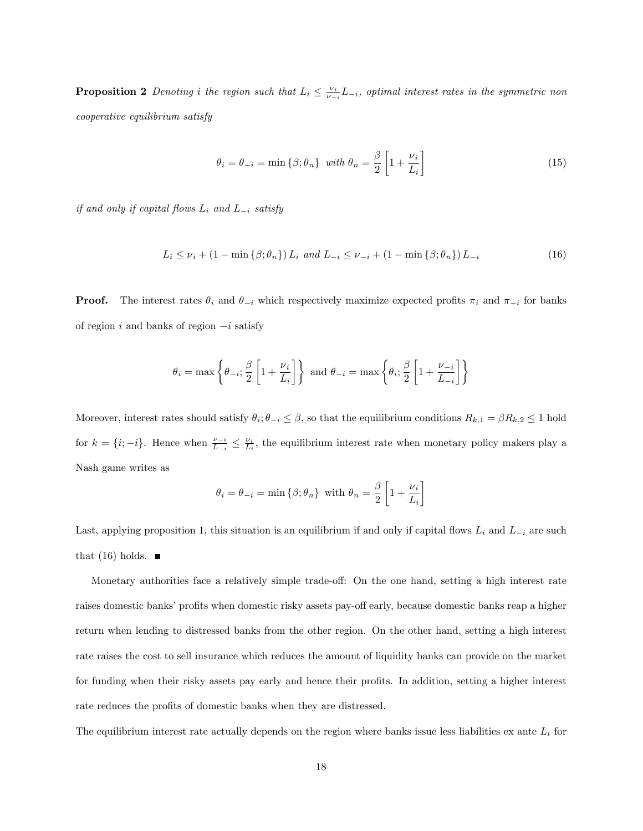**Proposition 2** Denoting i the region such that  $L_i \leq \frac{\nu_i}{\nu - i} L_{-i}$ , optimal interest rates in the symmetric non cooperative equilibrium satisfy

$$
\theta_i = \theta_{-i} = \min \{ \beta; \theta_n \} \quad \text{with } \theta_n = \frac{\beta}{2} \left[ 1 + \frac{\nu_i}{L_i} \right] \tag{15}
$$

if and only if capital flows  $L_i$  and  $L_{-i}$  satisfy

$$
L_i \le \nu_i + (1 - \min\{\beta; \theta_n\}) L_i \text{ and } L_{-i} \le \nu_{-i} + (1 - \min\{\beta; \theta_n\}) L_{-i}
$$
(16)

**Proof.** The interest rates  $\theta_i$  and  $\theta_{-i}$  which respectively maximize expected profits  $\pi_i$  and  $\pi_{-i}$  for banks of region i and banks of region  $-i$  satisfy

$$
\theta_i = \max \left\{ \theta_{-i}, \frac{\beta}{2} \left[ 1 + \frac{\nu_i}{L_i} \right] \right\}
$$
 and  $\theta_{-i} = \max \left\{ \theta_i, \frac{\beta}{2} \left[ 1 + \frac{\nu_{-i}}{L_{-i}} \right] \right\}$ 

Moreover, interest rates should satisfy  $\theta_i$ ;  $\theta_{-i} \leq \beta$ , so that the equilibrium conditions  $R_{k,1} = \beta R_{k,2} \leq 1$  hold for  $k = \{i, -i\}$ . Hence when  $\frac{\nu_{-i}}{L_{-i}} \leq \frac{\nu_i}{L_i}$ , the equilibrium interest rate when monetary policy makers play a Nash game writes as

$$
\theta_i = \theta_{-i} = \min \left\{\beta; \theta_n \right\} \text{ with } \theta_n = \frac{\beta}{2} \left[1 + \frac{\nu_i}{L_i}\right]
$$

Last, applying proposition 1, this situation is an equilibrium if and only if capital flows  $L_i$  and  $L_{-i}$  are such that (16) holds.  $\blacksquare$ 

Monetary authorities face a relatively simple trade-off: On the one hand, setting a high interest rate raises domestic banks' profits when domestic risky assets pay-off early, because domestic banks reap a higher return when lending to distressed banks from the other region. On the other hand, setting a high interest rate raises the cost to sell insurance which reduces the amount of liquidity banks can provide on the market for funding when their risky assets pay early and hence their profits. In addition, setting a higher interest rate reduces the profits of domestic banks when they are distressed.

The equilibrium interest rate actually depends on the region where banks issue less liabilities ex ante  $L_i$  for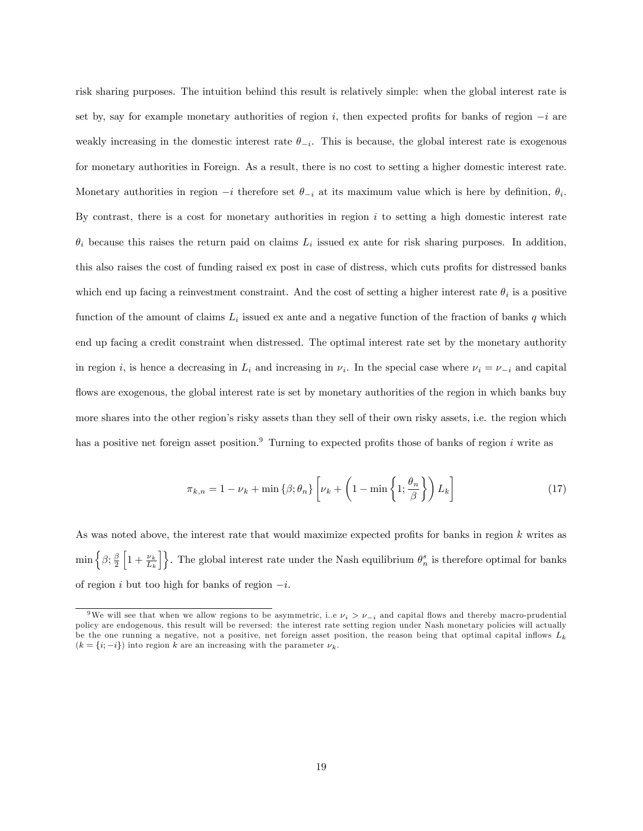risk sharing purposes. The intuition behind this result is relatively simple: when the global interest rate is set by, say for example monetary authorities of region i, then expected profits for banks of region  $-i$  are weakly increasing in the domestic interest rate  $\theta_{-i}$ . This is because, the global interest rate is exogenous for monetary authorities in Foreign. As a result, there is no cost to setting a higher domestic interest rate. Monetary authorities in region  $-i$  therefore set  $\theta_{-i}$  at its maximum value which is here by definition,  $\theta_i$ . By contrast, there is a cost for monetary authorities in region  $i$  to setting a high domestic interest rate  $\theta_i$  because this raises the return paid on claims  $L_i$  issued ex ante for risk sharing purposes. In addition, this also raises the cost of funding raised ex post in case of distress, which cuts profits for distressed banks which end up facing a reinvestment constraint. And the cost of setting a higher interest rate  $\theta_i$  is a positive function of the amount of claims  $L_i$  issued ex ante and a negative function of the fraction of banks q which end up facing a credit constraint when distressed. The optimal interest rate set by the monetary authority in region *i*, is hence a decreasing in  $L_i$  and increasing in  $\nu_i$ . In the special case where  $\nu_i = \nu_{-i}$  and capital flows are exogenous, the global interest rate is set by monetary authorities of the region in which banks buy more shares into the other region's risky assets than they sell of their own risky assets, i.e. the region which has a positive net foreign asset position.<sup>9</sup> Turning to expected profits those of banks of region i write as

$$
\pi_{k,n} = 1 - \nu_k + \min\left\{\beta; \theta_n\right\} \left[\nu_k + \left(1 - \min\left\{1; \frac{\theta_n}{\beta}\right\}\right) L_k\right] \tag{17}
$$

As was noted above, the interest rate that would maximize expected profits for banks in region  $k$  writes as  $\min\left\{\beta;\frac{\beta}{2}\right\}$  $\left[1+\frac{\nu_k}{L_k}\right]$ . The global interest rate under the Nash equilibrium  $\theta_n^s$  is therefore optimal for banks of region i but too high for banks of region  $-i$ .

<sup>&</sup>lt;sup>9</sup>We will see that when we allow regions to be asymmetric, i.e  $\nu_i > \nu_{-i}$  and capital flows and thereby macro-prudential policy are endogenous, this result will be reversed: the interest rate setting region under Nash monetary policies will actually be the one running a negative, not a positive, net foreign asset position, the reason being that optimal capital inflows  $L_k$  $(k = \{i, -i\})$  into region k are an increasing with the parameter  $\nu_k$ .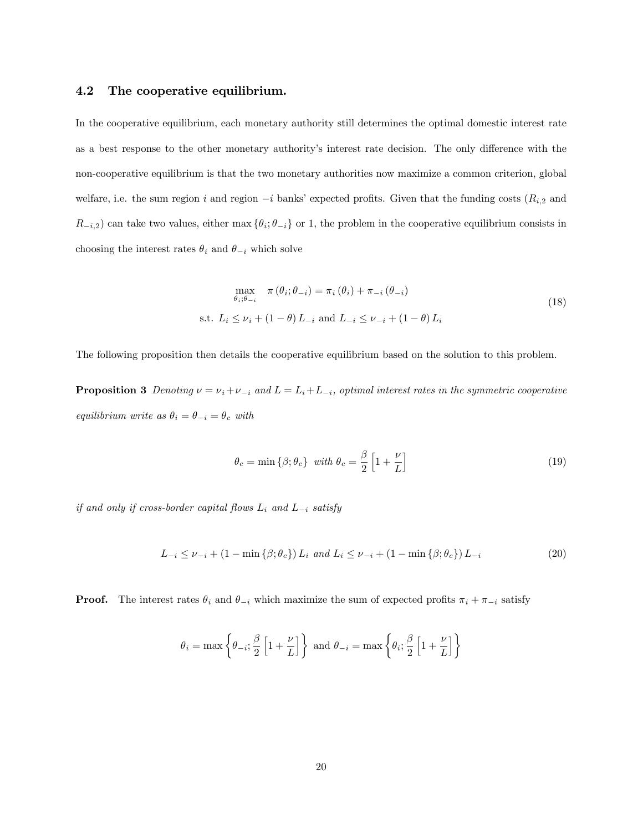#### 4.2 The cooperative equilibrium.

In the cooperative equilibrium, each monetary authority still determines the optimal domestic interest rate as a best response to the other monetary authority's interest rate decision. The only difference with the non-cooperative equilibrium is that the two monetary authorities now maximize a common criterion, global welfare, i.e. the sum region i and region  $-i$  banks' expected profits. Given that the funding costs  $(R_{i,2}$  and  $R_{-i,2}$  can take two values, either max  $\{\theta_i, \theta_{-i}\}$  or 1, the problem in the cooperative equilibrium consists in choosing the interest rates  $\theta_i$  and  $\theta_{-i}$  which solve

$$
\max_{\theta_i; \theta_{-i}} \pi(\theta_i; \theta_{-i}) = \pi_i(\theta_i) + \pi_{-i}(\theta_{-i})
$$
  
s.t.  $L_i \le \nu_i + (1 - \theta) L_{-i}$  and  $L_{-i} \le \nu_{-i} + (1 - \theta) L_i$  (18)

The following proposition then details the cooperative equilibrium based on the solution to this problem.

**Proposition 3** Denoting  $\nu = \nu_i + \nu_{-i}$  and  $L = L_i + L_{-i}$ , optimal interest rates in the symmetric cooperative equilibrium write as  $\theta_i = \theta_{-i} = \theta_c$  with

$$
\theta_c = \min\left\{\beta; \theta_c\right\} \text{ with } \theta_c = \frac{\beta}{2} \left[1 + \frac{\nu}{L}\right] \tag{19}
$$

if and only if cross-border capital flows  $L_i$  and  $L_{-i}$  satisfy

$$
L_{-i} \le \nu_{-i} + (1 - \min\{\beta; \theta_c\}) L_i \text{ and } L_i \le \nu_{-i} + (1 - \min\{\beta; \theta_c\}) L_{-i}
$$
 (20)

**Proof.** The interest rates  $\theta_i$  and  $\theta_{-i}$  which maximize the sum of expected profits  $\pi_i + \pi_{-i}$  satisfy

$$
\theta_i = \max \left\{ \theta_{-i}; \frac{\beta}{2} \left[ 1 + \frac{\nu}{L} \right] \right\}
$$
 and  $\theta_{-i} = \max \left\{ \theta_i; \frac{\beta}{2} \left[ 1 + \frac{\nu}{L} \right] \right\}$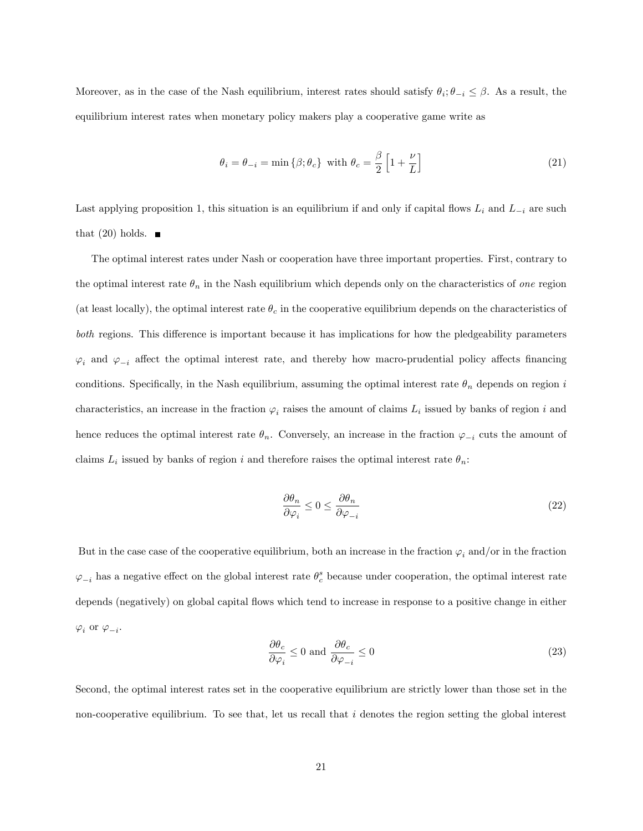Moreover, as in the case of the Nash equilibrium, interest rates should satisfy  $\theta_i$ ;  $\theta_{-i} \leq \beta$ . As a result, the equilibrium interest rates when monetary policy makers play a cooperative game write as

$$
\theta_i = \theta_{-i} = \min\left\{\beta; \theta_c\right\} \text{ with } \theta_c = \frac{\beta}{2} \left[1 + \frac{\nu}{L}\right] \tag{21}
$$

Last applying proposition 1, this situation is an equilibrium if and only if capital flows  $L_i$  and  $L_{-i}$  are such that  $(20)$  holds.

The optimal interest rates under Nash or cooperation have three important properties. First, contrary to the optimal interest rate  $\theta_n$  in the Nash equilibrium which depends only on the characteristics of one region (at least locally), the optimal interest rate  $\theta_c$  in the cooperative equilibrium depends on the characteristics of both regions. This difference is important because it has implications for how the pledgeability parameters  $\varphi_i$  and  $\varphi_{-i}$  affect the optimal interest rate, and thereby how macro-prudential policy affects financing conditions. Specifically, in the Nash equilibrium, assuming the optimal interest rate  $\theta_n$  depends on region i characteristics, an increase in the fraction  $\varphi_i$  raises the amount of claims  $L_i$  issued by banks of region i and hence reduces the optimal interest rate  $\theta_n$ . Conversely, an increase in the fraction  $\varphi_{-i}$  cuts the amount of claims  $L_i$  issued by banks of region i and therefore raises the optimal interest rate  $\theta_n$ .

$$
\frac{\partial \theta_n}{\partial \varphi_i} \le 0 \le \frac{\partial \theta_n}{\partial \varphi_{-i}}\tag{22}
$$

But in the case case of the cooperative equilibrium, both an increase in the fraction  $\varphi_i$  and/or in the fraction  $\varphi_{-i}$  has a negative effect on the global interest rate  $\theta_c^s$  because under cooperation, the optimal interest rate depends (negatively) on global capital flows which tend to increase in response to a positive change in either  $\varphi_i$  or  $\varphi_{-i}$ .

$$
\frac{\partial \theta_c}{\partial \varphi_i} \le 0 \text{ and } \frac{\partial \theta_c}{\partial \varphi_{-i}} \le 0 \tag{23}
$$

Second, the optimal interest rates set in the cooperative equilibrium are strictly lower than those set in the non-cooperative equilibrium. To see that, let us recall that  $i$  denotes the region setting the global interest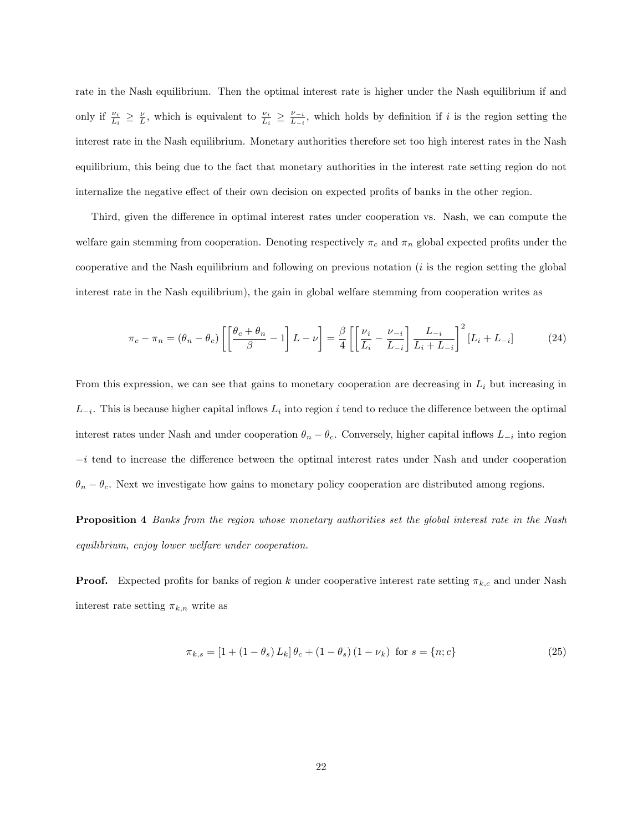rate in the Nash equilibrium. Then the optimal interest rate is higher under the Nash equilibrium if and only if  $\frac{\nu_i}{L_i} \geq \frac{\nu}{L}$ , which is equivalent to  $\frac{\nu_i}{L_i} \geq \frac{\nu_{-i}}{L_{-i}}$  $\frac{\nu_{-i}}{L_{-i}}$ , which holds by definition if i is the region setting the interest rate in the Nash equilibrium. Monetary authorities therefore set too high interest rates in the Nash equilibrium, this being due to the fact that monetary authorities in the interest rate setting region do not internalize the negative effect of their own decision on expected profits of banks in the other region.

Third, given the difference in optimal interest rates under cooperation vs. Nash, we can compute the welfare gain stemming from cooperation. Denoting respectively  $\pi_c$  and  $\pi_n$  global expected profits under the cooperative and the Nash equilibrium and following on previous notation  $(i$  is the region setting the global interest rate in the Nash equilibrium), the gain in global welfare stemming from cooperation writes as

$$
\pi_c - \pi_n = (\theta_n - \theta_c) \left[ \left[ \frac{\theta_c + \theta_n}{\beta} - 1 \right] L - \nu \right] = \frac{\beta}{4} \left[ \left[ \frac{\nu_i}{L_i} - \frac{\nu_{-i}}{L_{-i}} \right] \frac{L_{-i}}{L_i + L_{-i}} \right]^2 [L_i + L_{-i}] \tag{24}
$$

From this expression, we can see that gains to monetary cooperation are decreasing in  $L<sub>i</sub>$  but increasing in  $L_{-i}$ . This is because higher capital inflows  $L_i$  into region i tend to reduce the difference between the optimal interest rates under Nash and under cooperation  $\theta_n - \theta_c$ . Conversely, higher capital inflows  $L_{-i}$  into region  $-i$  tend to increase the difference between the optimal interest rates under Nash and under cooperation  $\theta_n - \theta_c$ . Next we investigate how gains to monetary policy cooperation are distributed among regions.

Proposition 4 Banks from the region whose monetary authorities set the global interest rate in the Nash equilibrium, enjoy lower welfare under cooperation.

**Proof.** Expected profits for banks of region k under cooperative interest rate setting  $\pi_{k,c}$  and under Nash interest rate setting  $\pi_{k,n}$  write as

$$
\pi_{k,s} = [1 + (1 - \theta_s) L_k] \theta_c + (1 - \theta_s) (1 - \nu_k) \text{ for } s = \{n; c\}
$$
\n(25)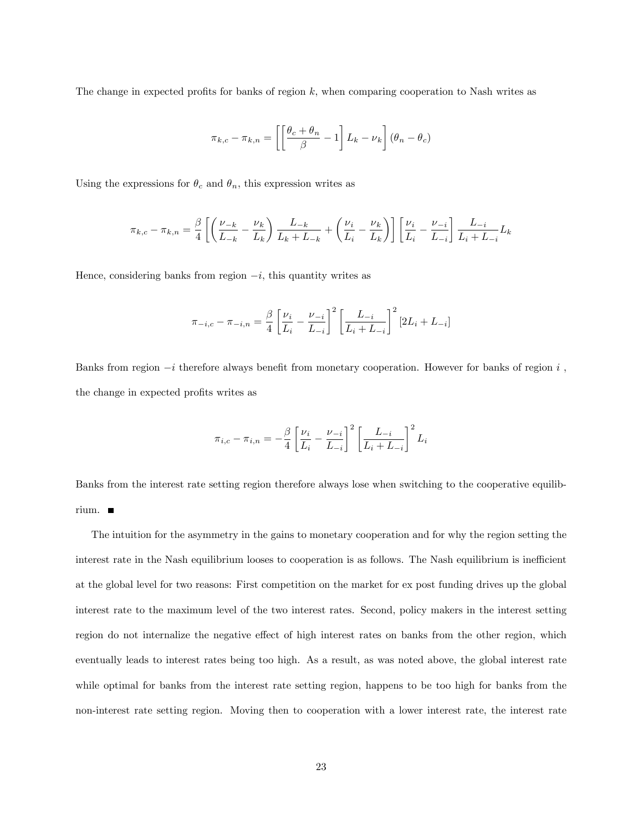The change in expected profits for banks of region  $k$ , when comparing cooperation to Nash writes as

$$
\pi_{k,c} - \pi_{k,n} = \left[ \left[ \frac{\theta_c + \theta_n}{\beta} - 1 \right] L_k - \nu_k \right] (\theta_n - \theta_c)
$$

Using the expressions for  $\theta_c$  and  $\theta_n$ , this expression writes as

$$
\pi_{k,c} - \pi_{k,n} = \frac{\beta}{4} \left[ \left( \frac{\nu_{-k}}{L_{-k}} - \frac{\nu_k}{L_k} \right) \frac{L_{-k}}{L_k + L_{-k}} + \left( \frac{\nu_i}{L_i} - \frac{\nu_k}{L_k} \right) \right] \left[ \frac{\nu_i}{L_i} - \frac{\nu_{-i}}{L_{-i}} \right] \frac{L_{-i}}{L_i + L_{-i}} L_k
$$

Hence, considering banks from region  $-i$ , this quantity writes as

$$
\pi_{-i,c} - \pi_{-i,n} = \frac{\beta}{4} \left[ \frac{\nu_i}{L_i} - \frac{\nu_{-i}}{L_{-i}} \right]^2 \left[ \frac{L_{-i}}{L_i + L_{-i}} \right]^2 [2L_i + L_{-i}]
$$

Banks from region  $-i$  therefore always benefit from monetary cooperation. However for banks of region i, the change in expected profits writes as

$$
\pi_{i,c} - \pi_{i,n} = -\frac{\beta}{4} \left[ \frac{\nu_i}{L_i} - \frac{\nu_{-i}}{L_{-i}} \right]^2 \left[ \frac{L_{-i}}{L_i + L_{-i}} \right]^2 L_i
$$

Banks from the interest rate setting region therefore always lose when switching to the cooperative equilibrium.

The intuition for the asymmetry in the gains to monetary cooperation and for why the region setting the interest rate in the Nash equilibrium looses to cooperation is as follows. The Nash equilibrium is inefficient at the global level for two reasons: First competition on the market for ex post funding drives up the global interest rate to the maximum level of the two interest rates. Second, policy makers in the interest setting region do not internalize the negative effect of high interest rates on banks from the other region, which eventually leads to interest rates being too high. As a result, as was noted above, the global interest rate while optimal for banks from the interest rate setting region, happens to be too high for banks from the non-interest rate setting region. Moving then to cooperation with a lower interest rate, the interest rate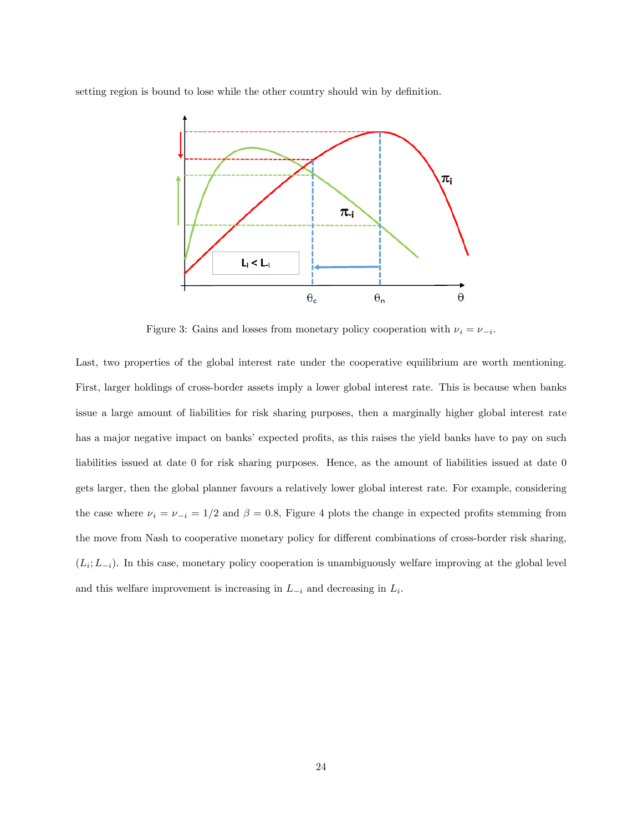setting region is bound to lose while the other country should win by definition.



Figure 3: Gains and losses from monetary policy cooperation with  $\nu_i = \nu_{-i}$ .

Last, two properties of the global interest rate under the cooperative equilibrium are worth mentioning. First, larger holdings of cross-border assets imply a lower global interest rate. This is because when banks issue a large amount of liabilities for risk sharing purposes, then a marginally higher global interest rate has a major negative impact on banks' expected profits, as this raises the yield banks have to pay on such liabilities issued at date 0 for risk sharing purposes. Hence, as the amount of liabilities issued at date 0 gets larger, then the global planner favours a relatively lower global interest rate. For example, considering the case where  $\nu_i = \nu_{-i} = 1/2$  and  $\beta = 0.8$ , Figure 4 plots the change in expected profits stemming from the move from Nash to cooperative monetary policy for different combinations of cross-border risk sharing,  $(L_i; L_{-i})$ . In this case, monetary policy cooperation is unambiguously welfare improving at the global level and this welfare improvement is increasing in  $L_{-i}$  and decreasing in  $L_i$ .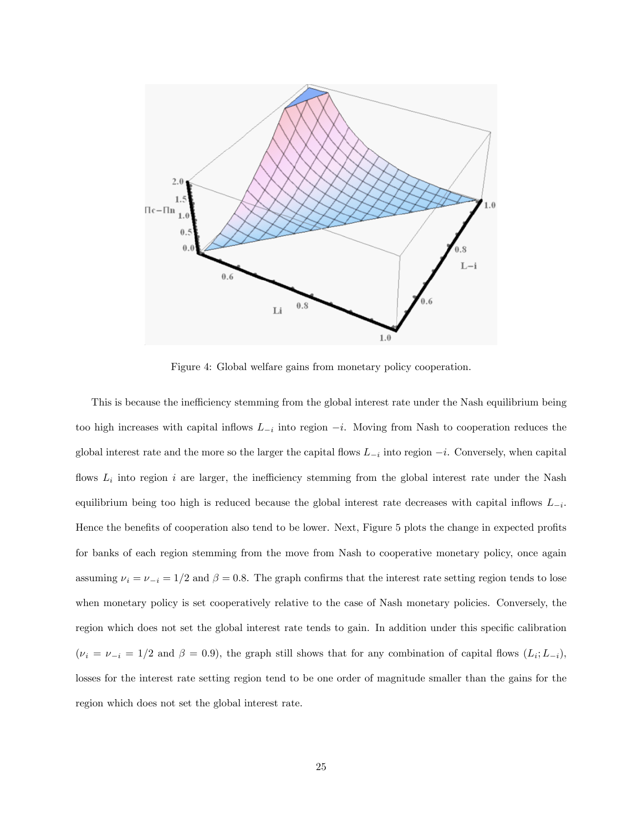

Figure 4: Global welfare gains from monetary policy cooperation.

This is because the inefficiency stemming from the global interest rate under the Nash equilibrium being too high increases with capital inflows  $L_{-i}$  into region  $-i$ . Moving from Nash to cooperation reduces the global interest rate and the more so the larger the capital flows  $L_{-i}$  into region  $-i$ . Conversely, when capital flows  $L_i$  into region i are larger, the inefficiency stemming from the global interest rate under the Nash equilibrium being too high is reduced because the global interest rate decreases with capital inflows  $L_{-i}$ . Hence the benefits of cooperation also tend to be lower. Next, Figure 5 plots the change in expected profits for banks of each region stemming from the move from Nash to cooperative monetary policy, once again assuming  $\nu_i = \nu_{-i} = 1/2$  and  $\beta = 0.8$ . The graph confirms that the interest rate setting region tends to lose when monetary policy is set cooperatively relative to the case of Nash monetary policies. Conversely, the region which does not set the global interest rate tends to gain. In addition under this specific calibration  $(\nu_i = \nu_{-i} = 1/2 \text{ and } \beta = 0.9)$ , the graph still shows that for any combination of capital flows  $(L_i; L_{-i})$ , losses for the interest rate setting region tend to be one order of magnitude smaller than the gains for the region which does not set the global interest rate.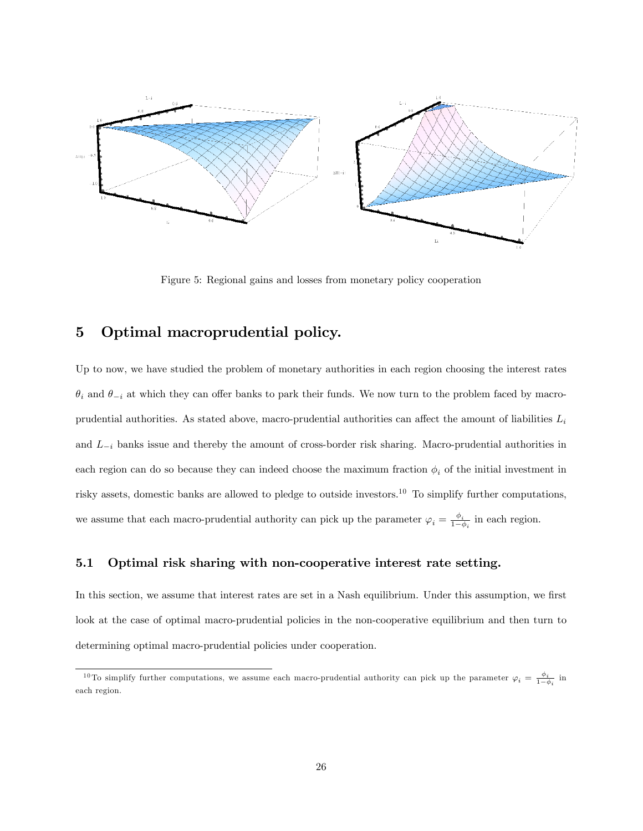

Figure 5: Regional gains and losses from monetary policy cooperation

# 5 Optimal macroprudential policy.

Up to now, we have studied the problem of monetary authorities in each region choosing the interest rates  $\theta_i$  and  $\theta_{-i}$  at which they can offer banks to park their funds. We now turn to the problem faced by macroprudential authorities. As stated above, macro-prudential authorities can affect the amount of liabilities  $L_i$ and  $L_{-i}$  banks issue and thereby the amount of cross-border risk sharing. Macro-prudential authorities in each region can do so because they can indeed choose the maximum fraction  $\phi_i$  of the initial investment in risky assets, domestic banks are allowed to pledge to outside investors.<sup>10</sup> To simplify further computations, we assume that each macro-prudential authority can pick up the parameter  $\varphi_i = \frac{\phi_i}{1-\epsilon}$  $\frac{\varphi_i}{1-\phi_i}$  in each region.

## 5.1 Optimal risk sharing with non-cooperative interest rate setting.

In this section, we assume that interest rates are set in a Nash equilibrium. Under this assumption, we first look at the case of optimal macro-prudential policies in the non-cooperative equilibrium and then turn to determining optimal macro-prudential policies under cooperation.

<sup>&</sup>lt;sup>10</sup>To simplify further computations, we assume each macro-prudential authority can pick up the parameter  $\varphi_i = \frac{\phi_i}{1-\phi_i}$  in each region.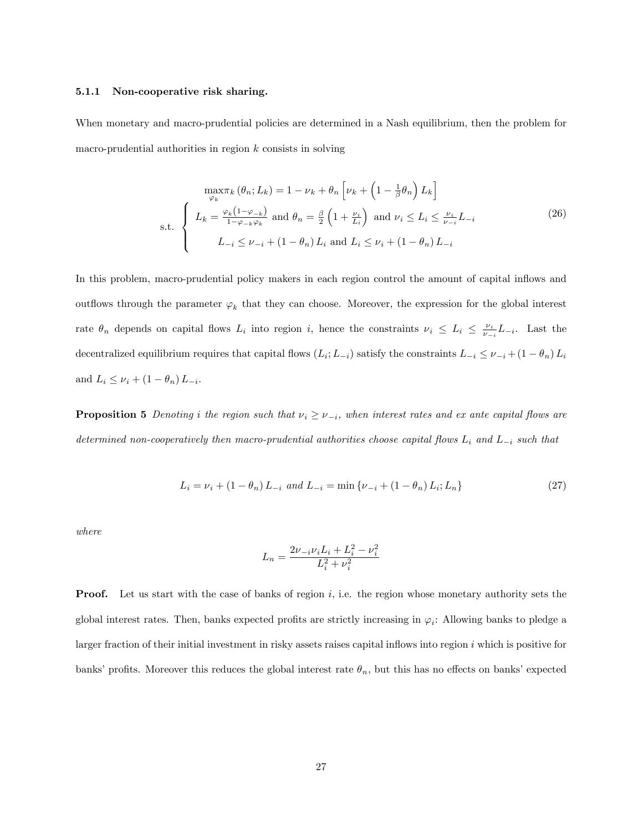#### 5.1.1 Non-cooperative risk sharing.

When monetary and macro-prudential policies are determined in a Nash equilibrium, then the problem for macro-prudential authorities in region  $k$  consists in solving

$$
\max_{\varphi_k} \pi_k (\theta_n; L_k) = 1 - \nu_k + \theta_n \left[ \nu_k + \left( 1 - \frac{1}{\beta} \theta_n \right) L_k \right]
$$
  
s.t. 
$$
\begin{cases} L_k = \frac{\varphi_k (1 - \varphi_{-k})}{1 - \varphi_{-k} \varphi_k} \text{ and } \theta_n = \frac{\beta}{2} \left( 1 + \frac{\nu_i}{L_i} \right) \text{ and } \nu_i \le L_i \le \frac{\nu_i}{\nu_{-i}} L_{-i} \\ L_{-i} \le \nu_{-i} + (1 - \theta_n) L_i \text{ and } L_i \le \nu_i + (1 - \theta_n) L_{-i} \end{cases}
$$
(26)

In this problem, macro-prudential policy makers in each region control the amount of capital inflows and outflows through the parameter  $\varphi_k$  that they can choose. Moreover, the expression for the global interest rate  $\theta_n$  depends on capital flows  $L_i$  into region i, hence the constraints  $\nu_i \leq L_i \leq \frac{\nu_i}{\nu_{-i}} L_{-i}$ . Last the decentralized equilibrium requires that capital flows  $(L_i; L_{-i})$  satisfy the constraints  $L_{-i} \leq \nu_{-i} + (1 - \theta_n) L_i$ and  $L_i \le \nu_i + (1 - \theta_n)L_{-i}$ .

**Proposition 5** Denoting i the region such that  $\nu_i \geq \nu_{-i}$ , when interest rates and ex ante capital flows are determined non-cooperatively then macro-prudential authorities choose capital flows  $L_i$  and  $L_{-i}$  such that

$$
L_i = \nu_i + (1 - \theta_n) L_{-i} \text{ and } L_{-i} = \min \{ \nu_{-i} + (1 - \theta_n) L_i; L_n \}
$$
\n(27)

where

$$
L_n = \frac{2\nu_{-i}\nu_i L_i + L_i^2 - \nu_i^2}{L_i^2 + \nu_i^2}
$$

**Proof.** Let us start with the case of banks of region  $i$ , i.e. the region whose monetary authority sets the global interest rates. Then, banks expected profits are strictly increasing in  $\varphi_i$ : Allowing banks to pledge a larger fraction of their initial investment in risky assets raises capital inflows into region  $i$  which is positive for banks' profits. Moreover this reduces the global interest rate  $\theta_n$ , but this has no effects on banks' expected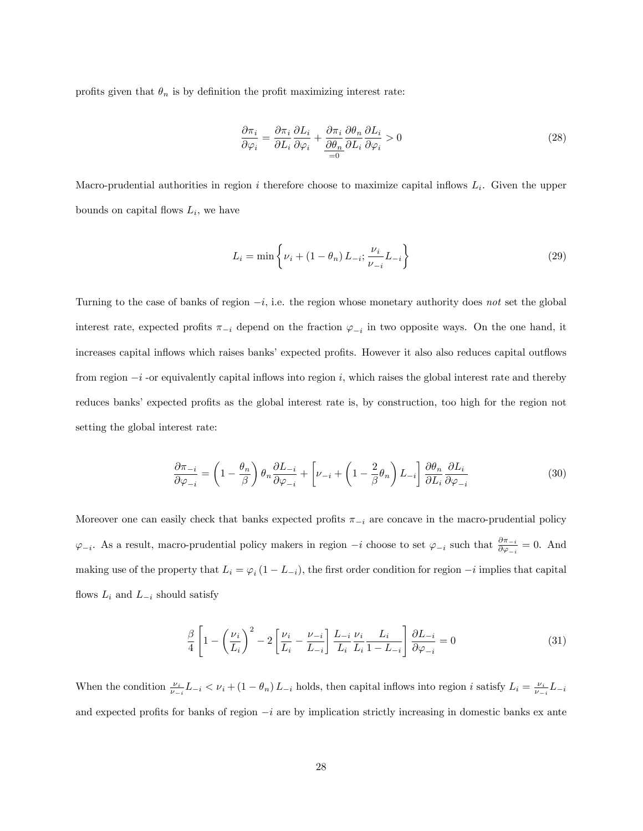profits given that  $\theta_n$  is by definition the profit maximizing interest rate:

$$
\frac{\partial \pi_i}{\partial \varphi_i} = \frac{\partial \pi_i}{\partial L_i} \frac{\partial L_i}{\partial \varphi_i} + \frac{\partial \pi_i}{\frac{\partial \theta_n}{\partial L_i}} \frac{\partial \theta_n}{\partial L_i} \frac{\partial L_i}{\partial \varphi_i} > 0 \tag{28}
$$

Macro-prudential authorities in region i therefore choose to maximize capital inflows  $L_i$ . Given the upper bounds on capital flows  $L_i$ , we have

$$
L_i = \min\left\{\nu_i + (1 - \theta_n) L_{-i}; \frac{\nu_i}{\nu_{-i}} L_{-i}\right\}
$$
 (29)

Turning to the case of banks of region  $-i$ , i.e. the region whose monetary authority does not set the global interest rate, expected profits  $\pi_{-i}$  depend on the fraction  $\varphi_{-i}$  in two opposite ways. On the one hand, it increases capital inflows which raises banks' expected profits. However it also also reduces capital outflows from region  $-i$  -or equivalently capital inflows into region i, which raises the global interest rate and thereby reduces banks' expected profits as the global interest rate is, by construction, too high for the region not setting the global interest rate:

$$
\frac{\partial \pi_{-i}}{\partial \varphi_{-i}} = \left(1 - \frac{\theta_n}{\beta}\right) \theta_n \frac{\partial L_{-i}}{\partial \varphi_{-i}} + \left[\nu_{-i} + \left(1 - \frac{2}{\beta}\theta_n\right)L_{-i}\right] \frac{\partial \theta_n}{\partial L_i} \frac{\partial L_i}{\partial \varphi_{-i}}\tag{30}
$$

Moreover one can easily check that banks expected profits  $\pi_{-i}$  are concave in the macro-prudential policy  $\varphi_{-i}$ . As a result, macro-prudential policy makers in region  $-i$  choose to set  $\varphi_{-i}$  such that  $\frac{\partial \pi_{-i}}{\partial \varphi_{-i}} = 0$ . And making use of the property that  $L_i = \varphi_i (1 - L_{-i})$ , the first order condition for region  $-i$  implies that capital flows  $L_i$  and  $L_{-i}$  should satisfy

$$
\frac{\beta}{4} \left[ 1 - \left(\frac{\nu_i}{L_i}\right)^2 - 2 \left[ \frac{\nu_i}{L_i} - \frac{\nu_{-i}}{L_{-i}} \right] \frac{L_{-i}}{L_i} \frac{\nu_i}{L_i} \frac{L_i}{1 - L_{-i}} \right] \frac{\partial L_{-i}}{\partial \varphi_{-i}} = 0 \tag{31}
$$

When the condition  $\frac{\nu_i}{\nu_{-i}}L_{-i} < \nu_i+(1-\theta_n)L_{-i}$  holds, then capital inflows into region i satisfy  $L_i = \frac{\nu_i}{\nu_{-i}}L_{-i}$ and expected profits for banks of region  $-i$  are by implication strictly increasing in domestic banks ex ante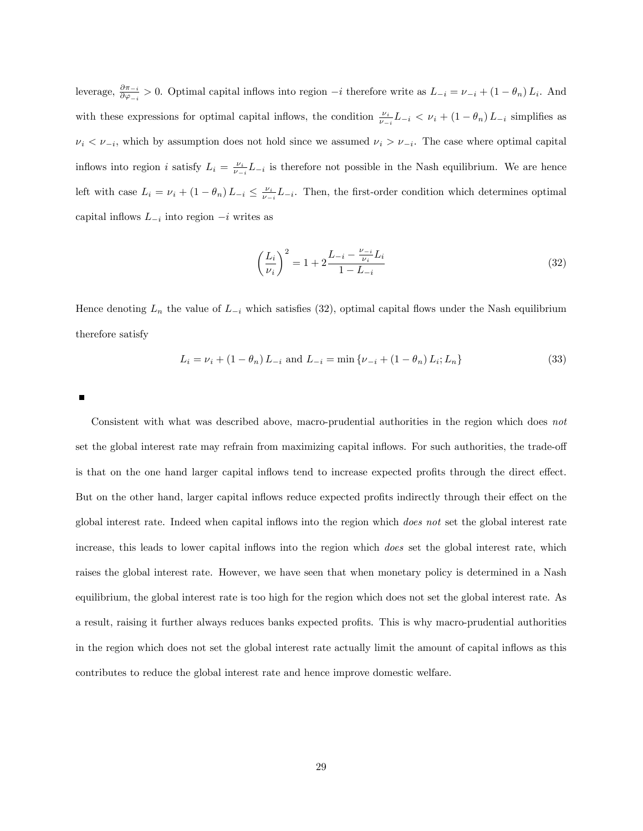leverage,  $\frac{\partial \pi_{-i}}{\partial \varphi_{-i}} > 0$ . Optimal capital inflows into region  $-i$  therefore write as  $L_{-i} = \nu_{-i} + (1 - \theta_n) L_i$ . And with these expressions for optimal capital inflows, the condition  $\frac{\nu_i}{\nu_{-i}}L_{-i} < \nu_i + (1 - \theta_n)L_{-i}$  simplifies as  $\nu_i < \nu_{-i}$ , which by assumption does not hold since we assumed  $\nu_i > \nu_{-i}$ . The case where optimal capital inflows into region *i* satisfy  $L_i = \frac{\nu_i}{\nu - i} L_{-i}$  is therefore not possible in the Nash equilibrium. We are hence left with case  $L_i = \nu_i + (1 - \theta_n)L_{-i} \leq \frac{\nu_i}{\nu_{-i}}L_{-i}$ . Then, the first-order condition which determines optimal capital inflows  $L_{-i}$  into region  $-i$  writes as

$$
\left(\frac{L_i}{\nu_i}\right)^2 = 1 + 2\frac{L_{-i} - \frac{\nu_{-i}}{\nu_i}L_i}{1 - L_{-i}}\tag{32}
$$

Hence denoting  $L_n$  the value of  $L_{-i}$  which satisfies (32), optimal capital flows under the Nash equilibrium therefore satisfy

$$
L_i = \nu_i + (1 - \theta_n) L_{-i} \text{ and } L_{-i} = \min \{ \nu_{-i} + (1 - \theta_n) L_i; L_n \}
$$
\n(33)

Г

Consistent with what was described above, macro-prudential authorities in the region which does not set the global interest rate may refrain from maximizing capital inflows. For such authorities, the trade-off is that on the one hand larger capital inflows tend to increase expected profits through the direct effect. But on the other hand, larger capital inflows reduce expected profits indirectly through their effect on the global interest rate. Indeed when capital inflows into the region which *does not* set the global interest rate increase, this leads to lower capital inflows into the region which *does* set the global interest rate, which raises the global interest rate. However, we have seen that when monetary policy is determined in a Nash equilibrium, the global interest rate is too high for the region which does not set the global interest rate. As a result, raising it further always reduces banks expected profits. This is why macro-prudential authorities in the region which does not set the global interest rate actually limit the amount of capital inflows as this contributes to reduce the global interest rate and hence improve domestic welfare.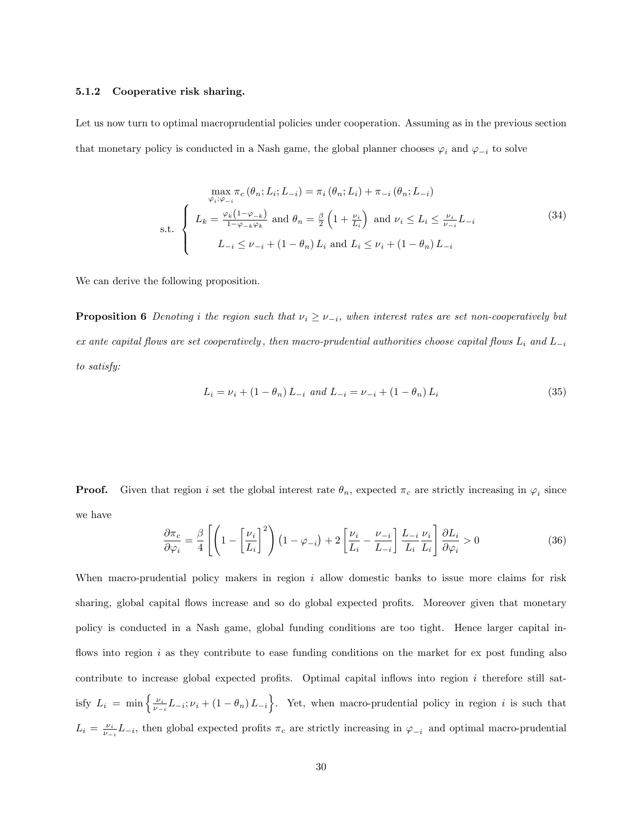#### 5.1.2 Cooperative risk sharing.

Let us now turn to optimal macroprudential policies under cooperation. Assuming as in the previous section that monetary policy is conducted in a Nash game, the global planner chooses  $\varphi_i$  and  $\varphi_{-i}$  to solve

$$
\max_{\varphi_i; \varphi_{-i}} \pi_c(\theta_n; L_i; L_{-i}) = \pi_i(\theta_n; L_i) + \pi_{-i}(\theta_n; L_{-i})
$$
\n
$$
\sum_{\varphi_i; \varphi_{-i}} L_k = \frac{\varphi_k(1-\varphi_{-k})}{1-\varphi_{-k}\varphi_k} \text{ and } \theta_n = \frac{\beta}{2} \left(1 + \frac{\nu_i}{L_i}\right) \text{ and } \nu_i \le L_i \le \frac{\nu_i}{\nu_{-i}} L_{-i}
$$
\n
$$
L_{-i} \le \nu_{-i} + (1 - \theta_n) L_i \text{ and } L_i \le \nu_i + (1 - \theta_n) L_{-i}
$$
\n
$$
(34)
$$

We can derive the following proposition.

**Proposition 6** Denoting i the region such that  $\nu_i \geq \nu_{-i}$ , when interest rates are set non-cooperatively but ex ante capital flows are set cooperatively, then macro-prudential authorities choose capital flows  $L_i$  and  $L_{-i}$ to satisfy:

$$
L_i = \nu_i + (1 - \theta_n) L_{-i} \text{ and } L_{-i} = \nu_{-i} + (1 - \theta_n) L_i
$$
\n(35)

**Proof.** Given that region i set the global interest rate  $\theta_n$ , expected  $\pi_c$  are strictly increasing in  $\varphi_i$  since we have

$$
\frac{\partial \pi_c}{\partial \varphi_i} = \frac{\beta}{4} \left[ \left( 1 - \left[ \frac{\nu_i}{L_i} \right]^2 \right) \left( 1 - \varphi_{-i} \right) + 2 \left[ \frac{\nu_i}{L_i} - \frac{\nu_{-i}}{L_{-i}} \right] \frac{L_{-i}}{L_i} \frac{\nu_i}{L_i} \right] \frac{\partial L_i}{\partial \varphi_i} > 0 \tag{36}
$$

When macro-prudential policy makers in region  $i$  allow domestic banks to issue more claims for risk sharing, global capital flows increase and so do global expected profits. Moreover given that monetary policy is conducted in a Nash game, global funding conditions are too tight. Hence larger capital inflows into region  $i$  as they contribute to ease funding conditions on the market for ex post funding also contribute to increase global expected profits. Optimal capital inflows into region  $i$  therefore still satisfy  $L_i = \min \left\{ \frac{\nu_i}{\nu - i} L_{-i}; \nu_i + (1 - \theta_n) L_{-i} \right\}$ . Yet, when macro-prudential policy in region i is such that  $L_i = \frac{\nu_i}{\nu_{-i}} L_{-i}$ , then global expected profits  $\pi_c$  are strictly increasing in  $\varphi_{-i}$  and optimal macro-prudential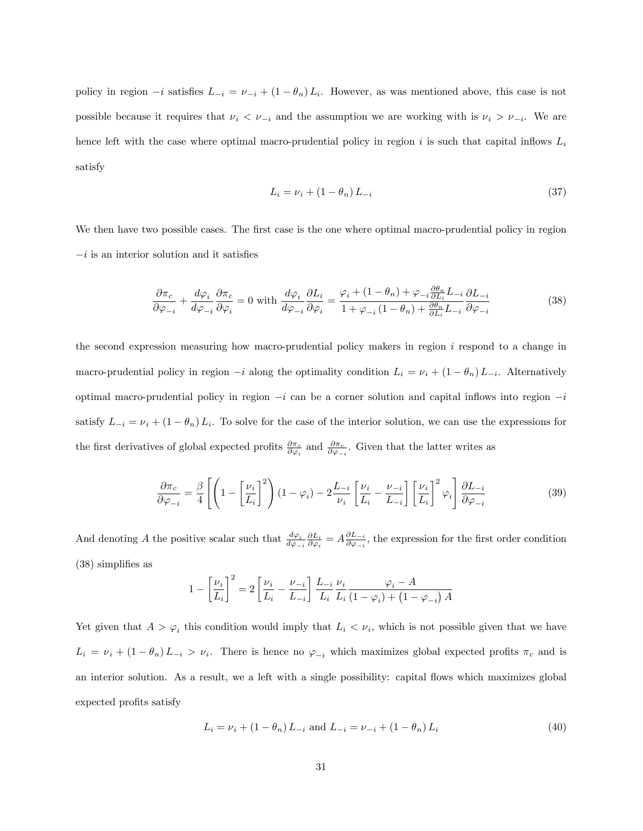policy in region  $-i$  satisfies  $L_{-i} = \nu_{-i} + (1 - \theta_n)L_i$ . However, as was mentioned above, this case is not possible because it requires that  $\nu_i < \nu_{-i}$  and the assumption we are working with is  $\nu_i > \nu_{-i}$ . We are hence left with the case where optimal macro-prudential policy in region  $i$  is such that capital inflows  $L_i$ satisfy

$$
L_i = \nu_i + (1 - \theta_n) L_{-i} \tag{37}
$$

We then have two possible cases. The first case is the one where optimal macro-prudential policy in region  $-i$  is an interior solution and it satisfies

$$
\frac{\partial \pi_c}{\partial \varphi_{-i}} + \frac{d\varphi_i}{d\varphi_{-i}} \frac{\partial \pi_c}{\partial \varphi_i} = 0 \text{ with } \frac{d\varphi_i}{d\varphi_{-i}} \frac{\partial L_i}{\partial \varphi_i} = \frac{\varphi_i + (1 - \theta_n) + \varphi_{-i} \frac{\partial \theta_n}{\partial L_i} L_{-i}}{1 + \varphi_{-i} (1 - \theta_n) + \frac{\partial \theta_n}{\partial L_i} L_{-i}} \frac{\partial L_{-i}}{\partial \varphi_{-i}} \tag{38}
$$

the second expression measuring how macro-prudential policy makers in region  $i$  respond to a change in macro-prudential policy in region  $-i$  along the optimality condition  $L_i = \nu_i + (1 - \theta_n)L_{-i}$ . Alternatively optimal macro-prudential policy in region  $-i$  can be a corner solution and capital inflows into region  $-i$ satisfy  $L_{-i} = \nu_i + (1 - \theta_n)L_i$ . To solve for the case of the interior solution, we can use the expressions for the first derivatives of global expected profits  $\frac{\partial \pi_c}{\partial \varphi_i}$  and  $\frac{\partial \pi_c}{\partial \varphi_{-i}}$ . Given that the latter writes as

$$
\frac{\partial \pi_c}{\partial \varphi_{-i}} = \frac{\beta}{4} \left[ \left( 1 - \left[ \frac{\nu_i}{L_i} \right]^2 \right) (1 - \varphi_i) - 2 \frac{L_{-i}}{\nu_i} \left[ \frac{\nu_i}{L_i} - \frac{\nu_{-i}}{L_{-i}} \right] \left[ \frac{\nu_i}{L_i} \right]^2 \varphi_i \right] \frac{\partial L_{-i}}{\partial \varphi_{-i}} \tag{39}
$$

And denoting A the positive scalar such that  $\frac{d\varphi_i}{d\varphi_{-i}} \frac{\partial L_i}{\partial \varphi_i} = A \frac{\partial L_{-i}}{\partial \varphi_{-i}}$  $\frac{\partial L_{-i}}{\partial \varphi_{-i}}$ , the expression for the first order condition  $(38)$  simplifies as

$$
1 - \left[\frac{\nu_i}{L_i}\right]^2 = 2\left[\frac{\nu_i}{L_i} - \frac{\nu_{-i}}{L_{-i}}\right] \frac{L_{-i}}{L_i} \frac{\nu_i}{L_i} \frac{\varphi_i - A}{(1 - \varphi_i) + (1 - \varphi_{-i})A}
$$

Yet given that  $A > \varphi_i$  this condition would imply that  $L_i < \nu_i$ , which is not possible given that we have  $L_i = \nu_i + (1 - \theta_n)L_{-i} > \nu_i$ . There is hence no  $\varphi_{-i}$  which maximizes global expected profits  $\pi_c$  and is an interior solution. As a result, we a left with a single possibility: capital áows which maximizes global expected profits satisfy

$$
L_i = \nu_i + (1 - \theta_n) L_{-i} \text{ and } L_{-i} = \nu_{-i} + (1 - \theta_n) L_i
$$
 (40)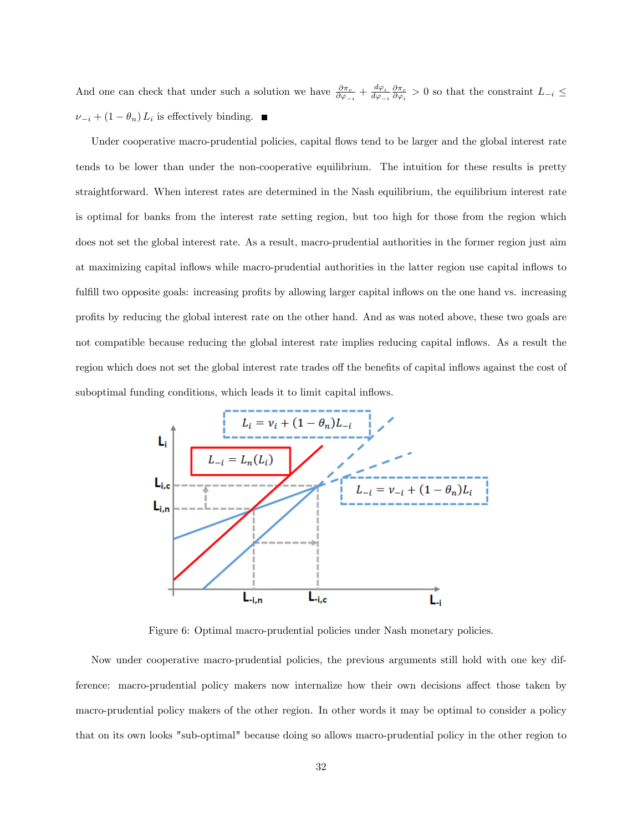And one can check that under such a solution we have  $\frac{\partial \pi_c}{\partial \varphi_{-i}} + \frac{d\varphi_i}{d\varphi_{-i}}$  $\frac{d\varphi_i}{d\varphi_{-i}} \frac{\partial \pi_c}{\partial \varphi_i} > 0$  so that the constraint  $L_{-i} \leq$  $\nu_{-i} + (1 - \theta_n) L_i$  is effectively binding.

Under cooperative macro-prudential policies, capital flows tend to be larger and the global interest rate tends to be lower than under the non-cooperative equilibrium. The intuition for these results is pretty straightforward. When interest rates are determined in the Nash equilibrium, the equilibrium interest rate is optimal for banks from the interest rate setting region, but too high for those from the region which does not set the global interest rate. As a result, macro-prudential authorities in the former region just aim at maximizing capital ináows while macro-prudential authorities in the latter region use capital ináows to fulfill two opposite goals: increasing profits by allowing larger capital inflows on the one hand vs. increasing profits by reducing the global interest rate on the other hand. And as was noted above, these two goals are not compatible because reducing the global interest rate implies reducing capital ináows. As a result the region which does not set the global interest rate trades off the benefits of capital inflows against the cost of suboptimal funding conditions, which leads it to limit capital inflows.



Figure 6: Optimal macro-prudential policies under Nash monetary policies.

Now under cooperative macro-prudential policies, the previous arguments still hold with one key difference: macro-prudential policy makers now internalize how their own decisions affect those taken by macro-prudential policy makers of the other region. In other words it may be optimal to consider a policy that on its own looks "sub-optimal" because doing so allows macro-prudential policy in the other region to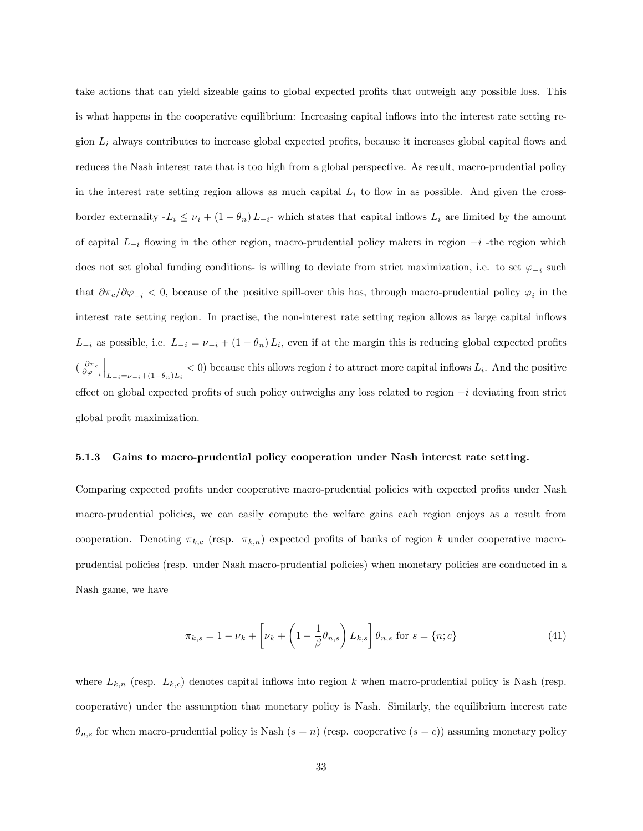take actions that can yield sizeable gains to global expected profits that outweigh any possible loss. This is what happens in the cooperative equilibrium: Increasing capital inflows into the interest rate setting region  $L_i$  always contributes to increase global expected profits, because it increases global capital flows and reduces the Nash interest rate that is too high from a global perspective. As result, macro-prudential policy in the interest rate setting region allows as much capital  $L<sub>i</sub>$  to flow in as possible. And given the crossborder externality  $-L_i \leq \nu_i + (1 - \theta_n)L_{-i}$ - which states that capital inflows  $L_i$  are limited by the amount of capital  $L_{-i}$  flowing in the other region, macro-prudential policy makers in region  $-i$  -the region which does not set global funding conditions- is willing to deviate from strict maximization, i.e. to set  $\varphi_{-i}$  such that  $\partial \pi_c/\partial \varphi_{-i} < 0$ , because of the positive spill-over this has, through macro-prudential policy  $\varphi_i$  in the interest rate setting region. In practise, the non-interest rate setting region allows as large capital inflows  $L_{-i}$  as possible, i.e.  $L_{-i} = \nu_{-i} + (1 - \theta_n)L_i$ , even if at the margin this is reducing global expected profits  $(\frac{\partial \pi_c}{\partial \varphi_{-i}})$  $\Big|_{L_{-i}=\nu_{-i}+(1-\theta_n)L_i} < 0$  because this allows region i to attract more capital inflows  $L_i$ . And the positive effect on global expected profits of such policy outweighs any loss related to region  $-i$  deviating from strict global profit maximization.

#### 5.1.3 Gains to macro-prudential policy cooperation under Nash interest rate setting.

Comparing expected profits under cooperative macro-prudential policies with expected profits under Nash macro-prudential policies, we can easily compute the welfare gains each region enjoys as a result from cooperation. Denoting  $\pi_{k,c}$  (resp.  $\pi_{k,n}$ ) expected profits of banks of region k under cooperative macroprudential policies (resp. under Nash macro-prudential policies) when monetary policies are conducted in a Nash game, we have

$$
\pi_{k,s} = 1 - \nu_k + \left[\nu_k + \left(1 - \frac{1}{\beta}\theta_{n,s}\right)L_{k,s}\right]\theta_{n,s} \text{ for } s = \{n;c\}
$$
 (41)

where  $L_{k,n}$  (resp.  $L_{k,c}$ ) denotes capital inflows into region k when macro-prudential policy is Nash (resp. cooperative) under the assumption that monetary policy is Nash. Similarly, the equilibrium interest rate  $\theta_{n,s}$  for when macro-prudential policy is Nash  $(s = n)$  (resp. cooperative  $(s = c)$ ) assuming monetary policy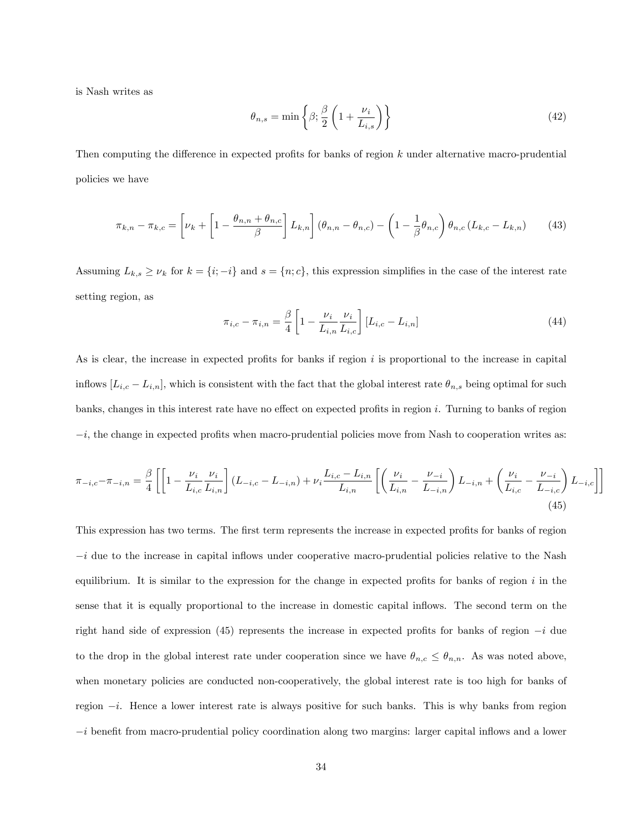is Nash writes as

$$
\theta_{n,s} = \min\left\{\beta; \frac{\beta}{2} \left(1 + \frac{\nu_i}{L_{i,s}}\right)\right\} \tag{42}
$$

Then computing the difference in expected profits for banks of region  $k$  under alternative macro-prudential policies we have

$$
\pi_{k,n} - \pi_{k,c} = \left[\nu_k + \left[1 - \frac{\theta_{n,n} + \theta_{n,c}}{\beta}\right]L_{k,n}\right] \left(\theta_{n,n} - \theta_{n,c}\right) - \left(1 - \frac{1}{\beta}\theta_{n,c}\right)\theta_{n,c} \left(L_{k,c} - L_{k,n}\right) \tag{43}
$$

Assuming  $L_{k,s} \geq \nu_k$  for  $k = \{i, -i\}$  and  $s = \{n, c\}$ , this expression simplifies in the case of the interest rate setting region, as

$$
\pi_{i,c} - \pi_{i,n} = \frac{\beta}{4} \left[ 1 - \frac{\nu_i}{L_{i,n}} \frac{\nu_i}{L_{i,c}} \right] [L_{i,c} - L_{i,n}] \tag{44}
$$

As is clear, the increase in expected profits for banks if region  $i$  is proportional to the increase in capital inflows  $[L_{i,c} - L_{i,n}]$ , which is consistent with the fact that the global interest rate  $\theta_{n,s}$  being optimal for such banks, changes in this interest rate have no effect on expected profits in region i. Turning to banks of region  $-i$ , the change in expected profits when macro-prudential policies move from Nash to cooperation writes as:

$$
\pi_{-i,c} - \pi_{-i,n} = \frac{\beta}{4} \left[ \left[ 1 - \frac{\nu_i}{L_{i,c}} \frac{\nu_i}{L_{i,n}} \right] (L_{-i,c} - L_{-i,n}) + \nu_i \frac{L_{i,c} - L_{i,n}}{L_{i,n}} \left[ \left( \frac{\nu_i}{L_{i,n}} - \frac{\nu_{-i}}{L_{-i,n}} \right) L_{-i,n} + \left( \frac{\nu_i}{L_{i,c}} - \frac{\nu_{-i}}{L_{-i,c}} \right) L_{-i,c} \right] \right]
$$
\n(45)

This expression has two terms. The first term represents the increase in expected profits for banks of region  $-i$  due to the increase in capital inflows under cooperative macro-prudential policies relative to the Nash equilibrium. It is similar to the expression for the change in expected profits for banks of region  $i$  in the sense that it is equally proportional to the increase in domestic capital ináows. The second term on the right hand side of expression (45) represents the increase in expected profits for banks of region  $-i$  due to the drop in the global interest rate under cooperation since we have  $\theta_{n,c} \leq \theta_{n,n}$ . As was noted above, when monetary policies are conducted non-cooperatively, the global interest rate is too high for banks of region  $-i$ . Hence a lower interest rate is always positive for such banks. This is why banks from region  $-i$  benefit from macro-prudential policy coordination along two margins: larger capital inflows and a lower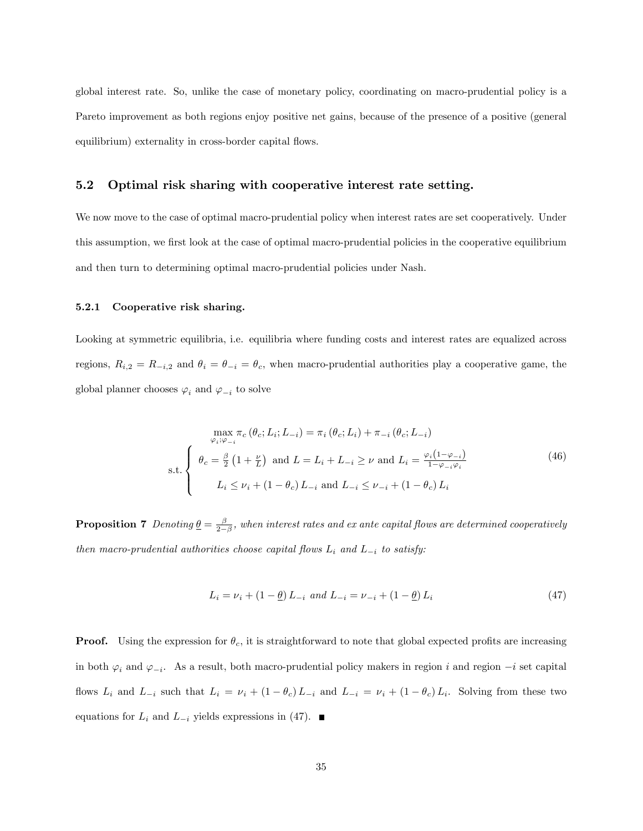global interest rate. So, unlike the case of monetary policy, coordinating on macro-prudential policy is a Pareto improvement as both regions enjoy positive net gains, because of the presence of a positive (general equilibrium) externality in cross-border capital flows.

#### 5.2 Optimal risk sharing with cooperative interest rate setting.

We now move to the case of optimal macro-prudential policy when interest rates are set cooperatively. Under this assumption, we first look at the case of optimal macro-prudential policies in the cooperative equilibrium and then turn to determining optimal macro-prudential policies under Nash.

#### 5.2.1 Cooperative risk sharing.

Looking at symmetric equilibria, i.e. equilibria where funding costs and interest rates are equalized across regions,  $R_{i,2} = R_{-i,2}$  and  $\theta_i = \theta_{-i} = \theta_c$ , when macro-prudential authorities play a cooperative game, the global planner chooses  $\varphi_i$  and  $\varphi_{-i}$  to solve

$$
\max_{\varphi_i; \varphi_{-i}} \pi_c \left( \theta_c; L_i; L_{-i} \right) = \pi_i \left( \theta_c; L_i \right) + \pi_{-i} \left( \theta_c; L_{-i} \right)
$$
\n
$$
\text{s.t.} \begin{cases} \theta_c = \frac{\beta}{2} \left( 1 + \frac{\nu}{L} \right) \text{ and } L = L_i + L_{-i} \ge \nu \text{ and } L_i = \frac{\varphi_i \left( 1 - \varphi_{-i} \right)}{1 - \varphi_{-i} \varphi_i} \\ L_i \le \nu_i + \left( 1 - \theta_c \right) L_{-i} \text{ and } L_{-i} \le \nu_{-i} + \left( 1 - \theta_c \right) L_i \end{cases} \tag{46}
$$

**Proposition 7** Denoting  $\underline{\theta} = \frac{\beta}{2-\beta}$ , when interest rates and ex ante capital flows are determined cooperatively then macro-prudential authorities choose capital flows  $L_i$  and  $L_{-i}$  to satisfy:

$$
L_i = \nu_i + (1 - \underline{\theta}) L_{-i} \text{ and } L_{-i} = \nu_{-i} + (1 - \underline{\theta}) L_i \tag{47}
$$

**Proof.** Using the expression for  $\theta_c$ , it is straightforward to note that global expected profits are increasing in both  $\varphi_i$  and  $\varphi_{-i}$ . As a result, both macro-prudential policy makers in region i and region  $-i$  set capital flows  $L_i$  and  $L_{-i}$  such that  $L_i = \nu_i + (1 - \theta_c)L_{-i}$  and  $L_{-i} = \nu_i + (1 - \theta_c)L_i$ . Solving from these two equations for  $L_i$  and  $L_{-i}$  yields expressions in (47).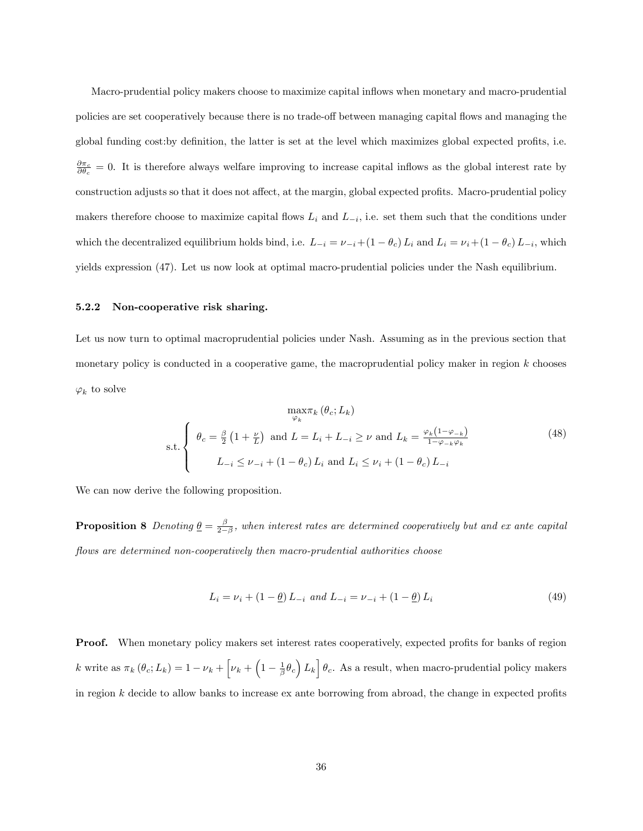Macro-prudential policy makers choose to maximize capital inflows when monetary and macro-prudential policies are set cooperatively because there is no trade-off between managing capital flows and managing the global funding cost: by definition, the latter is set at the level which maximizes global expected profits, i.e.  $\frac{\partial \pi_c}{\partial \theta_c} = 0$ . It is therefore always welfare improving to increase capital inflows as the global interest rate by construction adjusts so that it does not affect, at the margin, global expected profits. Macro-prudential policy makers therefore choose to maximize capital flows  $L_i$  and  $L_{-i}$ , i.e. set them such that the conditions under which the decentralized equilibrium holds bind, i.e.  $L_{-i} = \nu_{-i}+(1-\theta_c)L_i$  and  $L_i = \nu_i+(1-\theta_c)L_{-i}$ , which yields expression (47). Let us now look at optimal macro-prudential policies under the Nash equilibrium.

#### 5.2.2 Non-cooperative risk sharing.

Let us now turn to optimal macroprudential policies under Nash. Assuming as in the previous section that monetary policy is conducted in a cooperative game, the macroprudential policy maker in region  $k$  chooses  $\varphi_k$  to solve

$$
\max_{\varphi_k} \varphi_c; L_k)
$$
  
s.t. 
$$
\begin{cases} \theta_c = \frac{\beta}{2} \left( 1 + \frac{\nu}{L} \right) \text{ and } L = L_i + L_{-i} \ge \nu \text{ and } L_k = \frac{\varphi_k \left( 1 - \varphi_{-k} \right)}{1 - \varphi_{-k} \varphi_k} \\ L_{-i} \le \nu_{-i} + \left( 1 - \theta_c \right) L_i \text{ and } L_i \le \nu_i + \left( 1 - \theta_c \right) L_{-i} \end{cases}
$$
(48)

We can now derive the following proposition.

**Proposition 8** Denoting  $\underline{\theta} = \frac{\beta}{2-\beta}$ , when interest rates are determined cooperatively but and ex ante capital flows are determined non-cooperatively then macro-prudential authorities choose

$$
L_i = \nu_i + (1 - \underline{\theta}) L_{-i} \text{ and } L_{-i} = \nu_{-i} + (1 - \underline{\theta}) L_i
$$
\n(49)

**Proof.** When monetary policy makers set interest rates cooperatively, expected profits for banks of region k write as  $\pi_k (\theta_c; L_k) = 1 - \nu_k + \left[ \nu_k + \left( 1 - \frac{1}{\beta} \theta_c \right) L_k \right] \theta_c$ . As a result, when macro-prudential policy makers in region  $k$  decide to allow banks to increase ex ante borrowing from abroad, the change in expected profits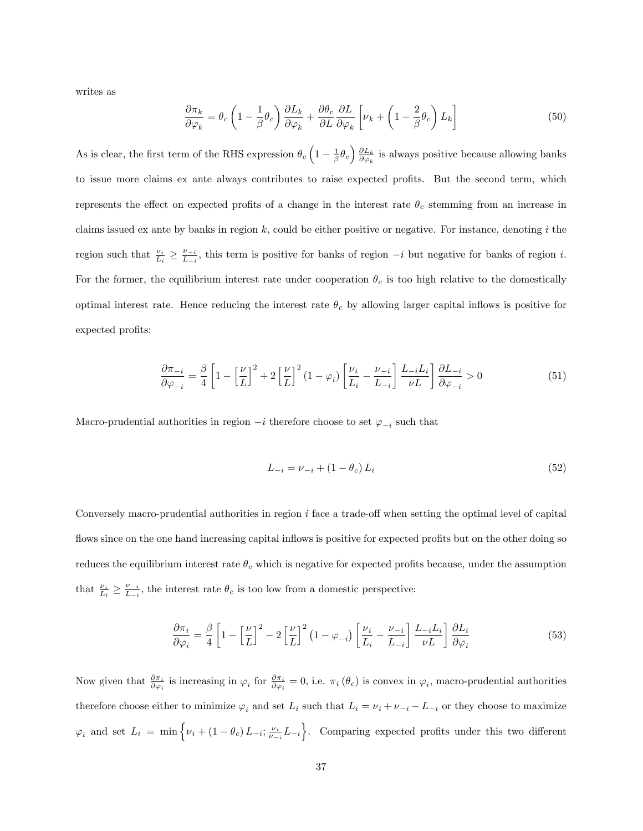writes as

$$
\frac{\partial \pi_k}{\partial \varphi_k} = \theta_c \left( 1 - \frac{1}{\beta} \theta_c \right) \frac{\partial L_k}{\partial \varphi_k} + \frac{\partial \theta_c}{\partial L} \frac{\partial L}{\partial \varphi_k} \left[ \nu_k + \left( 1 - \frac{2}{\beta} \theta_c \right) L_k \right]
$$
(50)

As is clear, the first term of the RHS expression  $\theta_c \left(1 - \frac{1}{\beta} \theta_c\right) \frac{\partial L_k}{\partial \varphi_k}$  is always positive because allowing banks to issue more claims ex ante always contributes to raise expected profits. But the second term, which represents the effect on expected profits of a change in the interest rate  $\theta_c$  stemming from an increase in claims issued ex ante by banks in region  $k$ , could be either positive or negative. For instance, denoting i the region such that  $\frac{\nu_i}{L_i} \geq \frac{\nu_{-i}}{L_{-i}}$  $\frac{\nu_{-i}}{L_{-i}}$ , this term is positive for banks of region  $-i$  but negative for banks of region i. For the former, the equilibrium interest rate under cooperation  $\theta_c$  is too high relative to the domestically optimal interest rate. Hence reducing the interest rate  $\theta_c$  by allowing larger capital inflows is positive for expected profits:

$$
\frac{\partial \pi_{-i}}{\partial \varphi_{-i}} = \frac{\beta}{4} \left[ 1 - \left[ \frac{\nu}{L} \right]^2 + 2 \left[ \frac{\nu}{L} \right]^2 (1 - \varphi_i) \left[ \frac{\nu_i}{L_i} - \frac{\nu_{-i}}{L_{-i}} \right] \frac{L_{-i} L_i}{\nu L} \right] \frac{\partial L_{-i}}{\partial \varphi_{-i}} > 0 \tag{51}
$$

Macro-prudential authorities in region  $-i$  therefore choose to set  $\varphi_{-i}$  such that

$$
L_{-i} = \nu_{-i} + (1 - \theta_c) L_i \tag{52}
$$

Conversely macro-prudential authorities in region  $i$  face a trade-off when setting the optimal level of capital flows since on the one hand increasing capital inflows is positive for expected profits but on the other doing so reduces the equilibrium interest rate  $\theta_c$  which is negative for expected profits because, under the assumption that  $\frac{\nu_i}{L_i} \geq \frac{\nu_{-i}}{L_{-i}}$  $\frac{\nu_{-i}}{L_{-i}}$ , the interest rate  $\theta_c$  is too low from a domestic perspective:

$$
\frac{\partial \pi_i}{\partial \varphi_i} = \frac{\beta}{4} \left[ 1 - \left[ \frac{\nu}{L} \right]^2 - 2 \left[ \frac{\nu}{L} \right]^2 \left( 1 - \varphi_{-i} \right) \left[ \frac{\nu_i}{L_i} - \frac{\nu_{-i}}{L_{-i}} \right] \frac{L_{-i} L_i}{\nu L} \right] \frac{\partial L_i}{\partial \varphi_i}
$$
(53)

Now given that  $\frac{\partial \pi_i}{\partial \varphi_i}$  is increasing in  $\varphi_i$  for  $\frac{\partial \pi_i}{\partial \varphi_i} = 0$ , i.e.  $\pi_i(\theta_c)$  is convex in  $\varphi_i$ , macro-prudential authorities therefore choose either to minimize  $\varphi_i$  and set  $L_i$  such that  $L_i = \nu_i + \nu_{-i} - L_{-i}$  or they choose to maximize  $\varphi_i$  and set  $L_i = \min \left\{ \nu_i + (1 - \theta_c) L_{-i}; \frac{\nu_i}{\nu_{-i}} L_{-i} \right\}$ . Comparing expected profits under this two different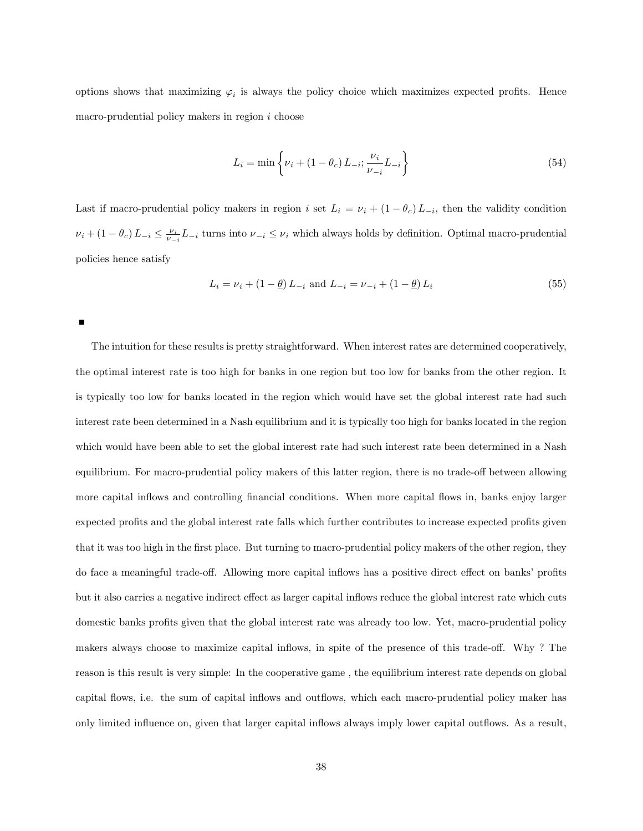options shows that maximizing  $\varphi_i$  is always the policy choice which maximizes expected profits. Hence macro-prudential policy makers in region i choose

$$
L_i = \min\left\{\nu_i + (1 - \theta_c) L_{-i}; \frac{\nu_i}{\nu_{-i}} L_{-i}\right\}
$$
\n(54)

Last if macro-prudential policy makers in region i set  $L_i = \nu_i + (1 - \theta_c) L_{-i}$ , then the validity condition  $\nu_i + (1 - \theta_c) L_{-i} \leq \frac{\nu_i}{\nu_{-i}} L_{-i}$  turns into  $\nu_{-i} \leq \nu_i$  which always holds by definition. Optimal macro-prudential policies hence satisfy

$$
L_i = \nu_i + (1 - \underline{\theta}) L_{-i} \text{ and } L_{-i} = \nu_{-i} + (1 - \underline{\theta}) L_i
$$
\n(55)

The intuition for these results is pretty straightforward. When interest rates are determined cooperatively, the optimal interest rate is too high for banks in one region but too low for banks from the other region. It is typically too low for banks located in the region which would have set the global interest rate had such interest rate been determined in a Nash equilibrium and it is typically too high for banks located in the region which would have been able to set the global interest rate had such interest rate been determined in a Nash equilibrium. For macro-prudential policy makers of this latter region, there is no trade-off between allowing more capital inflows and controlling financial conditions. When more capital flows in, banks enjoy larger expected profits and the global interest rate falls which further contributes to increase expected profits given that it was too high in the first place. But turning to macro-prudential policy makers of the other region, they do face a meaningful trade-off. Allowing more capital inflows has a positive direct effect on banks' profits but it also carries a negative indirect effect as larger capital inflows reduce the global interest rate which cuts domestic banks profits given that the global interest rate was already too low. Yet, macro-prudential policy makers always choose to maximize capital inflows, in spite of the presence of this trade-off. Why ? The reason is this result is very simple: In the cooperative game , the equilibrium interest rate depends on global capital flows, i.e. the sum of capital inflows and outflows, which each macro-prudential policy maker has only limited ináuence on, given that larger capital ináows always imply lower capital outáows. As a result,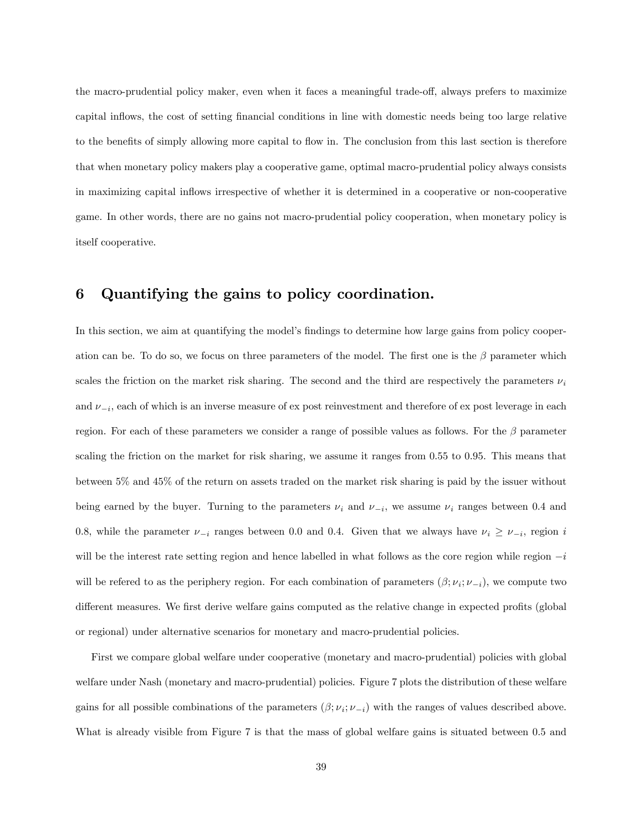the macro-prudential policy maker, even when it faces a meaningful trade-off, always prefers to maximize capital inflows, the cost of setting financial conditions in line with domestic needs being too large relative to the benefits of simply allowing more capital to flow in. The conclusion from this last section is therefore that when monetary policy makers play a cooperative game, optimal macro-prudential policy always consists in maximizing capital ináows irrespective of whether it is determined in a cooperative or non-cooperative game. In other words, there are no gains not macro-prudential policy cooperation, when monetary policy is itself cooperative.

# 6 Quantifying the gains to policy coordination.

In this section, we aim at quantifying the model's findings to determine how large gains from policy cooperation can be. To do so, we focus on three parameters of the model. The first one is the  $\beta$  parameter which scales the friction on the market risk sharing. The second and the third are respectively the parameters  $\nu_i$ and  $\nu_{-i}$ , each of which is an inverse measure of ex post reinvestment and therefore of ex post leverage in each region. For each of these parameters we consider a range of possible values as follows. For the  $\beta$  parameter scaling the friction on the market for risk sharing, we assume it ranges from 0.55 to 0.95. This means that between 5% and 45% of the return on assets traded on the market risk sharing is paid by the issuer without being earned by the buyer. Turning to the parameters  $\nu_i$  and  $\nu_{-i}$ , we assume  $\nu_i$  ranges between 0.4 and 0.8, while the parameter  $\nu_{-i}$  ranges between 0.0 and 0.4. Given that we always have  $\nu_i \ge \nu_{-i}$ , region i will be the interest rate setting region and hence labelled in what follows as the core region while region  $-i$ will be refered to as the periphery region. For each combination of parameters  $(\beta; \nu_i; \nu_{-i})$ , we compute two different measures. We first derive welfare gains computed as the relative change in expected profits (global or regional) under alternative scenarios for monetary and macro-prudential policies.

First we compare global welfare under cooperative (monetary and macro-prudential) policies with global welfare under Nash (monetary and macro-prudential) policies. Figure 7 plots the distribution of these welfare gains for all possible combinations of the parameters  $(\beta; \nu_i; \nu_{-i})$  with the ranges of values described above. What is already visible from Figure 7 is that the mass of global welfare gains is situated between 0.5 and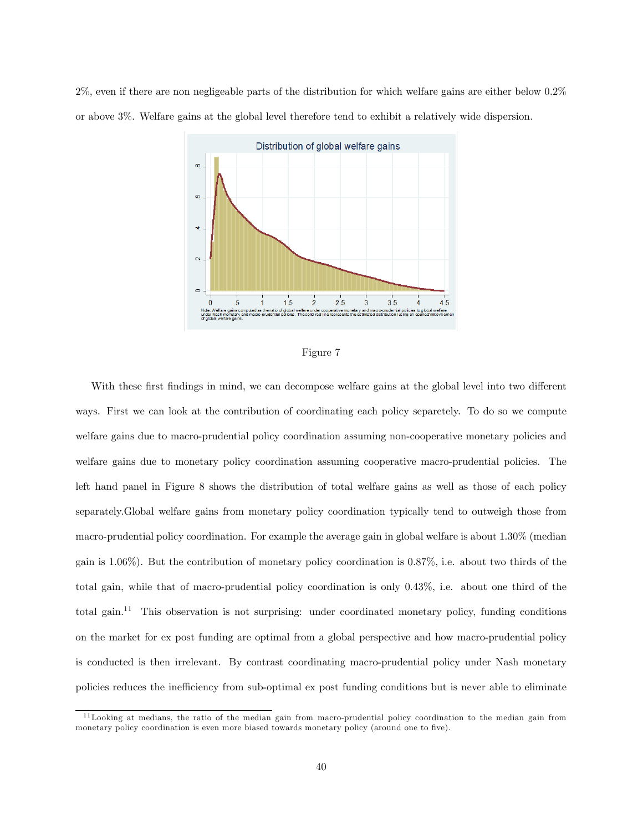2%, even if there are non negligeable parts of the distribution for which welfare gains are either below 0.2% or above 3%. Welfare gains at the global level therefore tend to exhibit a relatively wide dispersion.



Figure 7

With these first findings in mind, we can decompose welfare gains at the global level into two different ways. First we can look at the contribution of coordinating each policy separetely. To do so we compute welfare gains due to macro-prudential policy coordination assuming non-cooperative monetary policies and welfare gains due to monetary policy coordination assuming cooperative macro-prudential policies. The left hand panel in Figure 8 shows the distribution of total welfare gains as well as those of each policy separately.Global welfare gains from monetary policy coordination typically tend to outweigh those from macro-prudential policy coordination. For example the average gain in global welfare is about 1.30% (median gain is 1.06%). But the contribution of monetary policy coordination is 0.87%, i.e. about two thirds of the total gain, while that of macro-prudential policy coordination is only 0.43%, i.e. about one third of the total gain.<sup>11</sup> This observation is not surprising: under coordinated monetary policy, funding conditions on the market for ex post funding are optimal from a global perspective and how macro-prudential policy is conducted is then irrelevant. By contrast coordinating macro-prudential policy under Nash monetary policies reduces the inefficiency from sub-optimal ex post funding conditions but is never able to eliminate

<sup>&</sup>lt;sup>11</sup>Looking at medians, the ratio of the median gain from macro-prudential policy coordination to the median gain from monetary policy coordination is even more biased towards monetary policy (around one to five).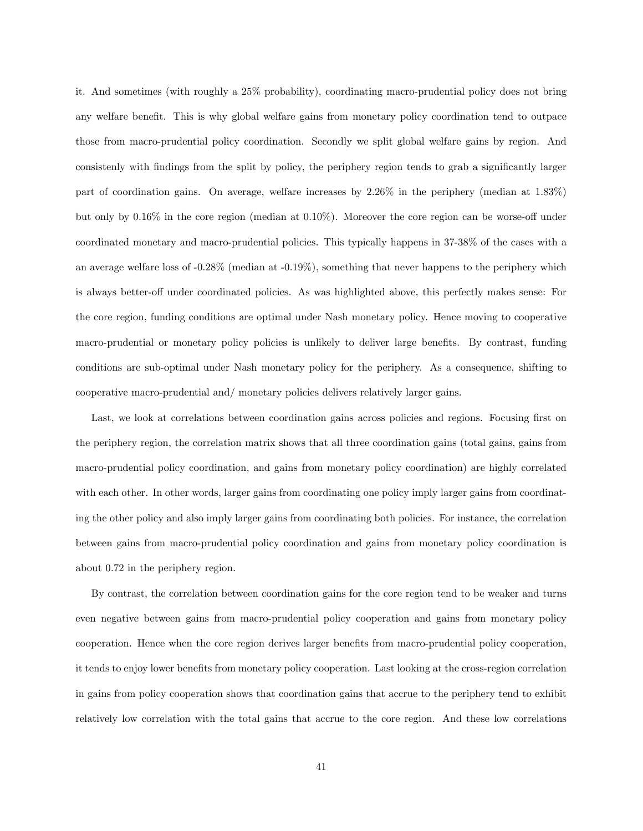it. And sometimes (with roughly a 25% probability), coordinating macro-prudential policy does not bring any welfare benefit. This is why global welfare gains from monetary policy coordination tend to outpace those from macro-prudential policy coordination. Secondly we split global welfare gains by region. And consistenly with findings from the split by policy, the periphery region tends to grab a significantly larger part of coordination gains. On average, welfare increases by 2.26% in the periphery (median at 1.83%) but only by  $0.16\%$  in the core region (median at  $0.10\%$ ). Moreover the core region can be worse-off under coordinated monetary and macro-prudential policies. This typically happens in 37-38% of the cases with a an average welfare loss of -0.28% (median at -0.19%), something that never happens to the periphery which is always better-off under coordinated policies. As was highlighted above, this perfectly makes sense: For the core region, funding conditions are optimal under Nash monetary policy. Hence moving to cooperative macro-prudential or monetary policy policies is unlikely to deliver large benefits. By contrast, funding conditions are sub-optimal under Nash monetary policy for the periphery. As a consequence, shifting to cooperative macro-prudential and/ monetary policies delivers relatively larger gains.

Last, we look at correlations between coordination gains across policies and regions. Focusing first on the periphery region, the correlation matrix shows that all three coordination gains (total gains, gains from macro-prudential policy coordination, and gains from monetary policy coordination) are highly correlated with each other. In other words, larger gains from coordinating one policy imply larger gains from coordinating the other policy and also imply larger gains from coordinating both policies. For instance, the correlation between gains from macro-prudential policy coordination and gains from monetary policy coordination is about 0.72 in the periphery region.

By contrast, the correlation between coordination gains for the core region tend to be weaker and turns even negative between gains from macro-prudential policy cooperation and gains from monetary policy cooperation. Hence when the core region derives larger benefits from macro-prudential policy cooperation, it tends to enjoy lower benefits from monetary policy cooperation. Last looking at the cross-region correlation in gains from policy cooperation shows that coordination gains that accrue to the periphery tend to exhibit relatively low correlation with the total gains that accrue to the core region. And these low correlations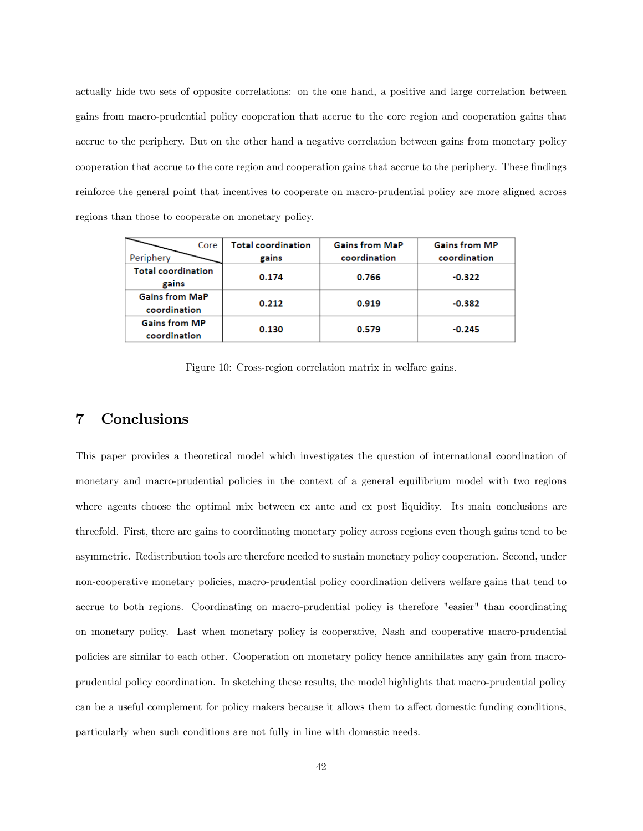actually hide two sets of opposite correlations: on the one hand, a positive and large correlation between gains from macro-prudential policy cooperation that accrue to the core region and cooperation gains that accrue to the periphery. But on the other hand a negative correlation between gains from monetary policy cooperation that accrue to the core region and cooperation gains that accrue to the periphery. These findings reinforce the general point that incentives to cooperate on macro-prudential policy are more aligned across regions than those to cooperate on monetary policy.

| Core<br>Periphery                     | <b>Total coordination</b><br>gains | <b>Gains from MaP</b><br>coordination | <b>Gains from MP</b><br>coordination |
|---------------------------------------|------------------------------------|---------------------------------------|--------------------------------------|
| <b>Total coordination</b><br>gains    | 0.174                              | 0.766                                 | $-0.322$                             |
| <b>Gains from MaP</b><br>coordination | 0.212                              | 0.919                                 | $-0.382$                             |
| <b>Gains from MP</b><br>coordination  | 0.130                              | 0.579                                 | $-0.245$                             |

Figure 10: Cross-region correlation matrix in welfare gains.

# 7 Conclusions

This paper provides a theoretical model which investigates the question of international coordination of monetary and macro-prudential policies in the context of a general equilibrium model with two regions where agents choose the optimal mix between ex ante and ex post liquidity. Its main conclusions are threefold. First, there are gains to coordinating monetary policy across regions even though gains tend to be asymmetric. Redistribution tools are therefore needed to sustain monetary policy cooperation. Second, under non-cooperative monetary policies, macro-prudential policy coordination delivers welfare gains that tend to accrue to both regions. Coordinating on macro-prudential policy is therefore "easier" than coordinating on monetary policy. Last when monetary policy is cooperative, Nash and cooperative macro-prudential policies are similar to each other. Cooperation on monetary policy hence annihilates any gain from macroprudential policy coordination. In sketching these results, the model highlights that macro-prudential policy can be a useful complement for policy makers because it allows them to affect domestic funding conditions, particularly when such conditions are not fully in line with domestic needs.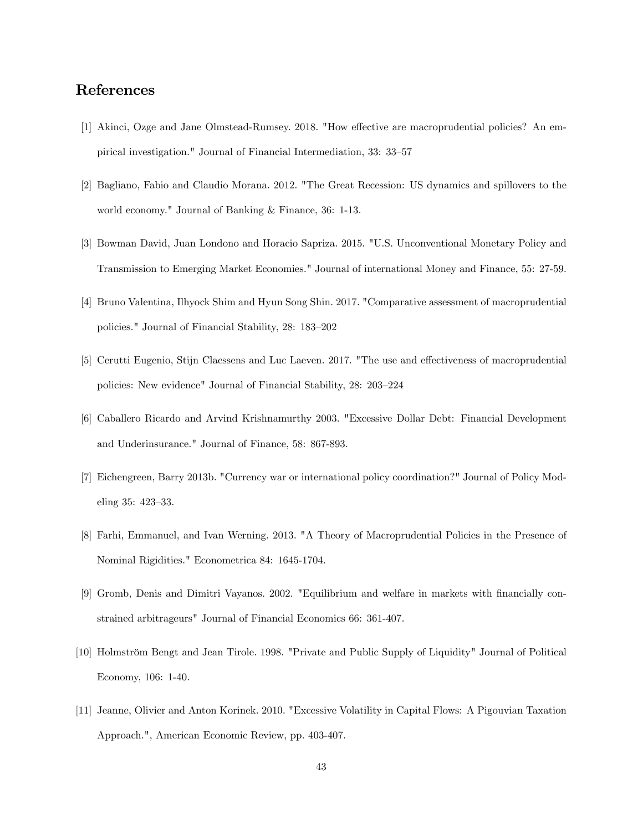# References

- [1] Akinci, Ozge and Jane Olmstead-Rumsey. 2018. "How effective are macroprudential policies? An empirical investigation." Journal of Financial Intermediation, 33: 33–57
- [2] Bagliano, Fabio and Claudio Morana. 2012. "The Great Recession: US dynamics and spillovers to the world economy." Journal of Banking & Finance, 36: 1-13.
- [3] Bowman David, Juan Londono and Horacio Sapriza. 2015. "U.S. Unconventional Monetary Policy and Transmission to Emerging Market Economies." Journal of international Money and Finance, 55: 27-59.
- [4] Bruno Valentina, Ilhyock Shim and Hyun Song Shin. 2017. "Comparative assessment of macroprudential policies." Journal of Financial Stability, 28: 183–202
- [5] Cerutti Eugenio, Stijn Claessens and Luc Laeven. 2017. "The use and effectiveness of macroprudential policies: New evidence" Journal of Financial Stability, 28: 203-224
- [6] Caballero Ricardo and Arvind Krishnamurthy 2003. "Excessive Dollar Debt: Financial Development and Underinsurance." Journal of Finance, 58: 867-893.
- [7] Eichengreen, Barry 2013b. "Currency war or international policy coordination?" Journal of Policy Modeling 35: 423-33.
- [8] Farhi, Emmanuel, and Ivan Werning. 2013. "A Theory of Macroprudential Policies in the Presence of Nominal Rigidities." Econometrica 84: 1645-1704.
- [9] Gromb, Denis and Dimitri Vayanos. 2002. "Equilibrium and welfare in markets with Önancially constrained arbitrageurs" Journal of Financial Economics 66: 361-407.
- [10] Holmström Bengt and Jean Tirole. 1998. "Private and Public Supply of Liquidity" Journal of Political Economy, 106: 1-40.
- [11] Jeanne, Olivier and Anton Korinek. 2010. "Excessive Volatility in Capital Flows: A Pigouvian Taxation Approach.", American Economic Review, pp. 403-407.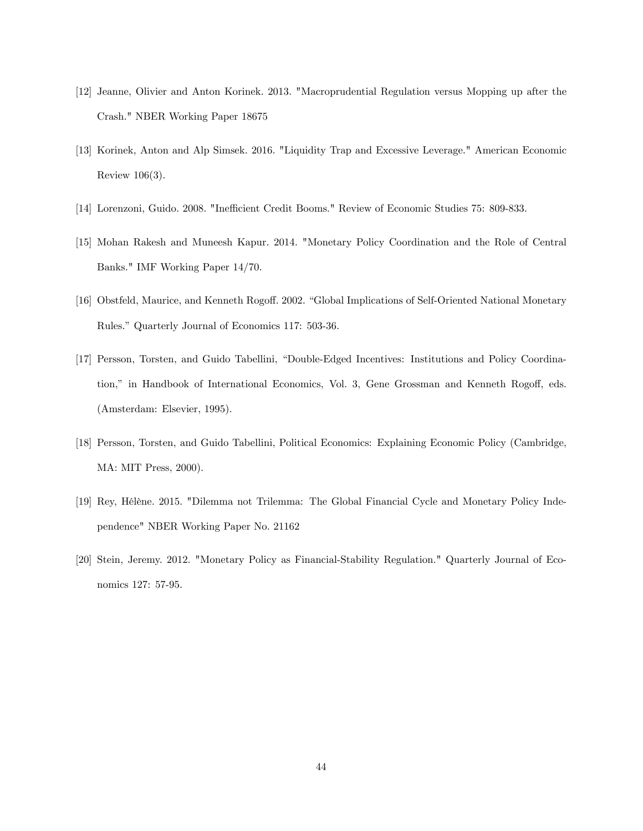- [12] Jeanne, Olivier and Anton Korinek. 2013. "Macroprudential Regulation versus Mopping up after the Crash." NBER Working Paper 18675
- [13] Korinek, Anton and Alp Simsek. 2016. "Liquidity Trap and Excessive Leverage." American Economic Review 106(3).
- [14] Lorenzoni, Guido. 2008. "Inefficient Credit Booms." Review of Economic Studies 75: 809-833.
- [15] Mohan Rakesh and Muneesh Kapur. 2014. "Monetary Policy Coordination and the Role of Central Banks." IMF Working Paper 14/70.
- [16] Obstfeld, Maurice, and Kenneth Rogoff. 2002. "Global Implications of Self-Oriented National Monetary Rules." Quarterly Journal of Economics 117: 503-36.
- [17] Persson, Torsten, and Guido Tabellini, "Double-Edged Incentives: Institutions and Policy Coordination," in Handbook of International Economics, Vol. 3, Gene Grossman and Kenneth Rogoff, eds. (Amsterdam: Elsevier, 1995).
- [18] Persson, Torsten, and Guido Tabellini, Political Economics: Explaining Economic Policy (Cambridge, MA: MIT Press, 2000).
- [19] Rey, Hélène. 2015. "Dilemma not Trilemma: The Global Financial Cycle and Monetary Policy Independence" NBER Working Paper No. 21162
- [20] Stein, Jeremy. 2012. "Monetary Policy as Financial-Stability Regulation." Quarterly Journal of Economics 127: 57-95.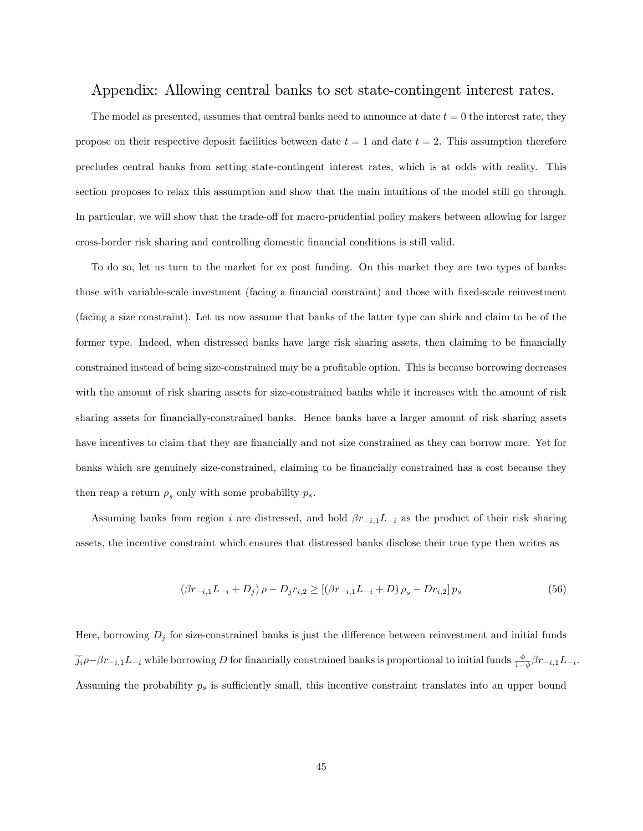## Appendix: Allowing central banks to set state-contingent interest rates.

The model as presented, assumes that central banks need to announce at date  $t = 0$  the interest rate, they propose on their respective deposit facilities between date  $t = 1$  and date  $t = 2$ . This assumption therefore precludes central banks from setting state-contingent interest rates, which is at odds with reality. This section proposes to relax this assumption and show that the main intuitions of the model still go through. In particular, we will show that the trade-off for macro-prudential policy makers between allowing for larger cross-border risk sharing and controlling domestic Önancial conditions is still valid.

To do so, let us turn to the market for ex post funding. On this market they are two types of banks: those with variable-scale investment (facing a financial constraint) and those with fixed-scale reinvestment (facing a size constraint). Let us now assume that banks of the latter type can shirk and claim to be of the former type. Indeed, when distressed banks have large risk sharing assets, then claiming to be financially constrained instead of being size-constrained may be a profitable option. This is because borrowing decreases with the amount of risk sharing assets for size-constrained banks while it increases with the amount of risk sharing assets for financially-constrained banks. Hence banks have a larger amount of risk sharing assets have incentives to claim that they are financially and not size constrained as they can borrow more. Yet for banks which are genuinely size-constrained, claiming to be financially constrained has a cost because they then reap a return  $\rho_s$  only with some probability  $p_s$ .

Assuming banks from region i are distressed, and hold  $\beta r_{-i,1}L_{-i}$  as the product of their risk sharing assets, the incentive constraint which ensures that distressed banks disclose their true type then writes as

$$
(\beta r_{-i,1}L_{-i} + D_j)\rho - D_j r_{i,2} \ge [(\beta r_{-i,1}L_{-i} + D)\rho_s - D r_{i,2}]\rho_s \tag{56}
$$

Here, borrowing  $D_j$  for size-constrained banks is just the difference between reinvestment and initial funds  $j_i \rho - \beta r_{-i,1} L_{-i}$  while borrowing D for financially constrained banks is proportional to initial funds  $\frac{\phi}{1-\phi} \beta r_{-i,1} L_{-i}$ . Assuming the probability  $p_s$  is sufficiently small, this incentive constraint translates into an upper bound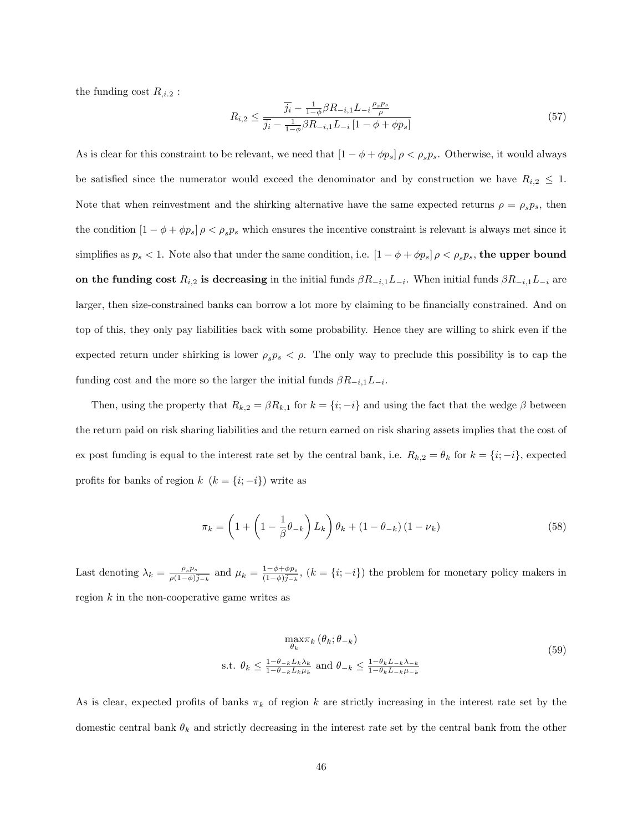the funding cost  $R_{i,2}$ :

$$
R_{i,2} \le \frac{\overline{j_i} - \frac{1}{1-\phi}\beta R_{-i,1}L_{-i}\frac{\rho_s p_s}{\rho}}{\overline{j_i} - \frac{1}{1-\phi}\beta R_{-i,1}L_{-i}[1-\phi+\phi p_s]}
$$
(57)

As is clear for this constraint to be relevant, we need that  $[1 - \phi + \phi p_s] \rho < \rho_s p_s$ . Otherwise, it would always be satisfied since the numerator would exceed the denominator and by construction we have  $R_{i,2} \leq 1$ . Note that when reinvestment and the shirking alternative have the same expected returns  $\rho = \rho_s p_s$ , then the condition  $[1 - \phi + \phi p_s] \rho < \rho_s p_s$  which ensures the incentive constraint is relevant is always met since it simplifies as  $p_s < 1$ . Note also that under the same condition, i.e.  $[1 - \phi + \phi p_s] \rho < \rho_s p_s$ , the upper bound on the funding cost  $R_{i,2}$  is decreasing in the initial funds  $\beta R_{-i,1}L_{-i}$ . When initial funds  $\beta R_{-i,1}L_{-i}$  are larger, then size-constrained banks can borrow a lot more by claiming to be financially constrained. And on top of this, they only pay liabilities back with some probability. Hence they are willing to shirk even if the expected return under shirking is lower  $\rho_s p_s < \rho$ . The only way to preclude this possibility is to cap the funding cost and the more so the larger the initial funds  $\beta R_{-i,1}L_{-i}$ .

Then, using the property that  $R_{k,2} = \beta R_{k,1}$  for  $k = \{i, -i\}$  and using the fact that the wedge  $\beta$  between the return paid on risk sharing liabilities and the return earned on risk sharing assets implies that the cost of ex post funding is equal to the interest rate set by the central bank, i.e.  $R_{k,2} = \theta_k$  for  $k = \{i, -i\}$ , expected profits for banks of region  $k$   $(k = \{i; -i\})$  write as

$$
\pi_k = \left(1 + \left(1 - \frac{1}{\beta}\theta_{-k}\right)L_k\right)\theta_k + \left(1 - \theta_{-k}\right)\left(1 - \nu_k\right) \tag{58}
$$

Last denoting  $\lambda_k = \frac{\rho_s p_s}{\rho (1-\phi)}$  $\frac{\rho_s p_s}{\rho(1-\phi)\overline{j_{-k}}}$  and  $\mu_k = \frac{1-\phi+\phi p_s}{(1-\phi)\overline{j_{-k}}}$  $\frac{1-\phi+\phi p_s}{(1-\phi)j_{-k}}$ ,  $(k = \{i; -i\})$  the problem for monetary policy makers in region  $k$  in the non-cooperative game writes as

$$
\max_{\theta_k} \pi_k \left( \theta_k; \theta_{-k} \right)
$$
  
s.t.  $\theta_k \le \frac{1 - \theta_{-k} L_k \lambda_k}{1 - \theta_{-k} L_k \mu_k}$  and  $\theta_{-k} \le \frac{1 - \theta_k L_{-k} \lambda_{-k}}{1 - \theta_k L_{-k} \mu_{-k}}$  (59)

As is clear, expected profits of banks  $\pi_k$  of region k are strictly increasing in the interest rate set by the domestic central bank  $\theta_k$  and strictly decreasing in the interest rate set by the central bank from the other